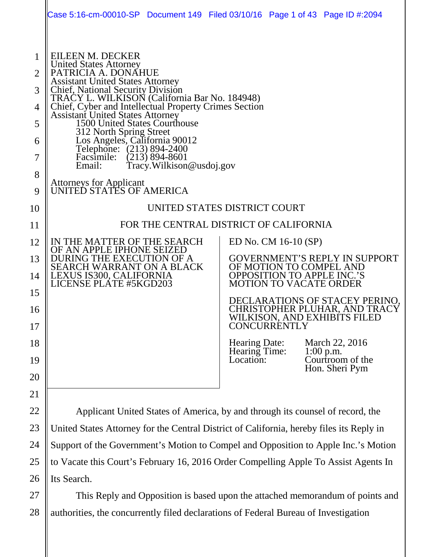|                                                          | Case 5:16-cm-00010-SP Document 149 Filed 03/10/16 Page 1 of 43 Page ID #:2094                                                                                                                                                                                                                                                                                                                                                                                                                                                 |                                                 |                                                    |                                                                                                                                              |                                                                                                                                                                                                         |
|----------------------------------------------------------|-------------------------------------------------------------------------------------------------------------------------------------------------------------------------------------------------------------------------------------------------------------------------------------------------------------------------------------------------------------------------------------------------------------------------------------------------------------------------------------------------------------------------------|-------------------------------------------------|----------------------------------------------------|----------------------------------------------------------------------------------------------------------------------------------------------|---------------------------------------------------------------------------------------------------------------------------------------------------------------------------------------------------------|
| 1<br>2<br>3<br>4<br>5<br>6<br>7<br>8<br>9                | EILEEN M. DECKER<br><b>United States Attorney</b><br>PATRICIA A. DONAHUE<br><b>Assistant United States Attorney</b><br><b>Chief, National Security Division</b><br>TRAĆY L. WILKISOŇ (California Bar No. 184948)<br>Chief, Cyber and Intellectual Property Crimes Section<br><b>Assistant United States Attorney</b><br>1500 United States Courthouse<br>312 North Spring Street<br>Los Angeles, California 90012<br>Telephone: (213) 894-2400<br>Facsimile:<br>Email:<br>Attorneys for Applicant<br>UNITED STATES OF AMERICA | $(213) 894 - 8601$<br>Tracy. Wilkison@usdoj.gov |                                                    |                                                                                                                                              |                                                                                                                                                                                                         |
| 10                                                       |                                                                                                                                                                                                                                                                                                                                                                                                                                                                                                                               |                                                 | UNITED STATES DISTRICT COURT                       |                                                                                                                                              |                                                                                                                                                                                                         |
| 11                                                       | FOR THE CENTRAL DISTRICT OF CALIFORNIA                                                                                                                                                                                                                                                                                                                                                                                                                                                                                        |                                                 |                                                    |                                                                                                                                              |                                                                                                                                                                                                         |
| 12<br>13<br>14<br>15<br>16<br>17<br>18<br>19<br>20<br>21 | IN THE MATTER OF THE SEARCH<br>OF AN APPLE IPHONE SEIZED<br>DURING THE EXECUTION OF A<br><b>SEARCH WARRANT ON A BLACK</b><br>LEXUS IS300, CALIFORNIA<br>LICENSE PLATE #5KGD203                                                                                                                                                                                                                                                                                                                                                |                                                 | <b>Hearing Date:</b><br>Hearing Time:<br>Location: | ED No. CM 16-10 (SP)<br>OF MOTION TO COMPEL AND<br><b>OPPOSITION TO APPLE INC.'S</b><br><b>MOTION TO VACATE ORDER</b><br><b>CONCURRENTLY</b> | GOVERNMENT'S REPLY IN SUPPORT<br>DECLARATIONS OF STACEY PERINO,<br>CHRISTOPHER PLUHAR, AND TRACY<br>WILKISON, AND EXHIBITS FILED<br>March 22, 2016<br>$1:00$ p.m.<br>Courtroom of the<br>Hon. Sheri Pym |
| 22                                                       | Applicant United States of America, by and through its counsel of record, the                                                                                                                                                                                                                                                                                                                                                                                                                                                 |                                                 |                                                    |                                                                                                                                              |                                                                                                                                                                                                         |
| 23                                                       | United States Attorney for the Central District of California, hereby files its Reply in                                                                                                                                                                                                                                                                                                                                                                                                                                      |                                                 |                                                    |                                                                                                                                              |                                                                                                                                                                                                         |
| 24                                                       | Support of the Government's Motion to Compel and Opposition to Apple Inc.'s Motion                                                                                                                                                                                                                                                                                                                                                                                                                                            |                                                 |                                                    |                                                                                                                                              |                                                                                                                                                                                                         |

to Vacate this Court's February 16, 2016 Order Compelling Apple To Assist Agents In Its Search.

25

26

27 28 This Reply and Opposition is based upon the attached memorandum of points and authorities, the concurrently filed declarations of Federal Bureau of Investigation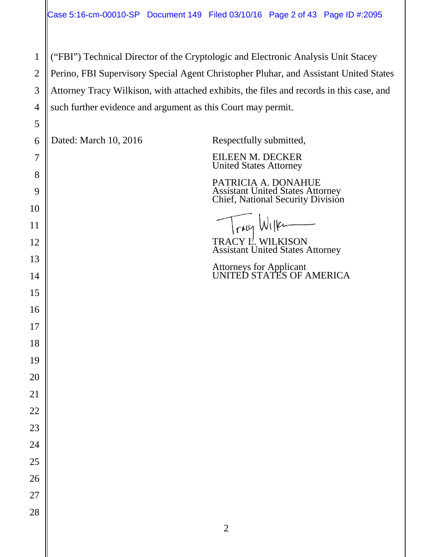("FBI") Technical Director of the Cryptologic and Electronic Analysis Unit Stacey Perino, FBI Supervisory Special Agent Christopher Pluhar, and Assistant United States Attorney Tracy Wilkison, with attached exhibits, the files and records in this case, and such further evidence and argument as this Court may permit.

| 5        |                       |                                                                               |
|----------|-----------------------|-------------------------------------------------------------------------------|
| 6        | Dated: March 10, 2016 | Respectfully submitted,                                                       |
| 7        |                       | EILEEN M. DECKER<br><b>United States Attorney</b>                             |
| 8        |                       | PATRICIA A. DONAHUE                                                           |
| 9        |                       | <b>Assistant United States Attorney<br/>Chief, National Security Division</b> |
| 10<br>11 |                       | Tray Wilke                                                                    |
| 12       |                       | TRACY L. WILKISON<br>Assistant United States Attorney                         |
| 13       |                       |                                                                               |
| 14       |                       | <b>Attorneys for Applicant<br/>UNITED STATES OF AMERICA</b>                   |
| 15       |                       |                                                                               |
| 16       |                       |                                                                               |
| 17       |                       |                                                                               |
| 18       |                       |                                                                               |
| 19       |                       |                                                                               |
| 20       |                       |                                                                               |
| 21       |                       |                                                                               |
| 22       |                       |                                                                               |
| 23       |                       |                                                                               |
| 24       |                       |                                                                               |
| 25       |                       |                                                                               |
| 26       |                       |                                                                               |
| 27       |                       |                                                                               |
| 28       |                       | $\sqrt{2}$                                                                    |
|          |                       |                                                                               |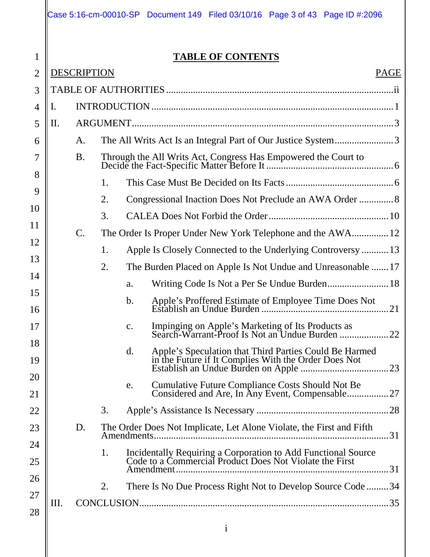|                |    |                    | Case 5:16-cm-00010-SP | Document 149 Filed 03/10/16 Page 3 of 43 Page ID #:2096                                                                   |  |
|----------------|----|--------------------|-----------------------|---------------------------------------------------------------------------------------------------------------------------|--|
| $\mathbf 1$    |    |                    |                       | <b>TABLE OF CONTENTS</b>                                                                                                  |  |
| $\overline{2}$ |    | <b>DESCRIPTION</b> |                       | <b>PAGE</b>                                                                                                               |  |
| 3              |    |                    |                       |                                                                                                                           |  |
| 4              | Ι. |                    |                       |                                                                                                                           |  |
| 5              | П. |                    |                       |                                                                                                                           |  |
| 6              |    | A.                 |                       | The All Writs Act Is an Integral Part of Our Justice System3                                                              |  |
|                |    | <b>B.</b>          |                       |                                                                                                                           |  |
| 8              |    |                    |                       |                                                                                                                           |  |
| 9              |    |                    | 1.                    |                                                                                                                           |  |
| 10             |    |                    | 2.                    |                                                                                                                           |  |
| 11             |    |                    | 3.                    |                                                                                                                           |  |
| 12             |    | $\mathcal{C}$ .    |                       | The Order Is Proper Under New York Telephone and the AWA 12                                                               |  |
| 13             |    |                    | 1.                    | Apple Is Closely Connected to the Underlying Controversy 13                                                               |  |
| 14             |    |                    | 2.                    | The Burden Placed on Apple Is Not Undue and Unreasonable  17                                                              |  |
| 15             |    |                    |                       | a.                                                                                                                        |  |
| 16             |    |                    |                       | b.<br>.21                                                                                                                 |  |
| 17             |    |                    |                       | Impinging on Apple's Marketing of Its Products as<br>Search-Warrant-Proof Is Not an Undue Burden<br>$\mathbf{c}$ .<br>.22 |  |
| 18<br>19       |    |                    |                       | d.                                                                                                                        |  |
| 20<br>21       |    |                    |                       | <b>Cumulative Future Compliance Costs Should Not Be</b><br>e.                                                             |  |
| 22             |    |                    | 3.                    |                                                                                                                           |  |
| 23             |    | D.                 |                       | The Order Does Not Implicate, Let Alone Violate, the First and Fifth<br>.31                                               |  |
| 24<br>25       |    |                    | 1.                    | Incidentally Requiring a Corporation to Add Functional Source<br>Code to a Commercial Product Does Not Violate the First  |  |
| 26             |    |                    | 2.                    | There Is No Due Process Right Not to Develop Source Code34                                                                |  |
| 27             | Ш. |                    |                       |                                                                                                                           |  |
| 28             |    |                    |                       | $\mathbf{i}$                                                                                                              |  |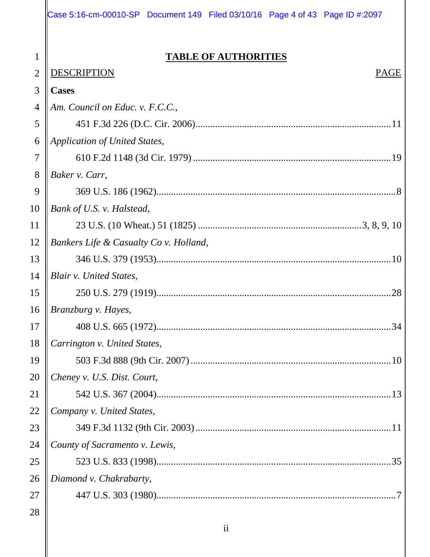1  $\Delta$ 

#### **TABLE OF AUTHORITIES**

| $\overline{2}$ | <b>DESCRIPTION</b><br>PAGE             |
|----------------|----------------------------------------|
| 3              | <b>Cases</b>                           |
| $\overline{4}$ | Am. Council on Educ. v. F.C.C.,        |
| 5              |                                        |
| 6              | Application of United States,          |
| 7              |                                        |
| 8              | Baker v. Carr,                         |
| 9              |                                        |
| 10             | Bank of U.S. v. Halstead,              |
| <sup>11</sup>  |                                        |
| 12             | Bankers Life & Casualty Co v. Holland, |
| 13             |                                        |
| 14             | <b>Blair v. United States,</b>         |
| 15             |                                        |
| 16             | Branzburg v. Hayes,                    |
| 17             |                                        |
| 18             | Carrington v. United States,           |
| 19             |                                        |
| 20             | Cheney v. U.S. Dist. Court,            |
| 21             |                                        |
| 22             | Company v. United States,              |
| 23             |                                        |
| 24             | County of Sacramento v. Lewis,         |
| 25             |                                        |
| 26             | Diamond v. Chakrabarty,                |
| 27             |                                        |
| 28             |                                        |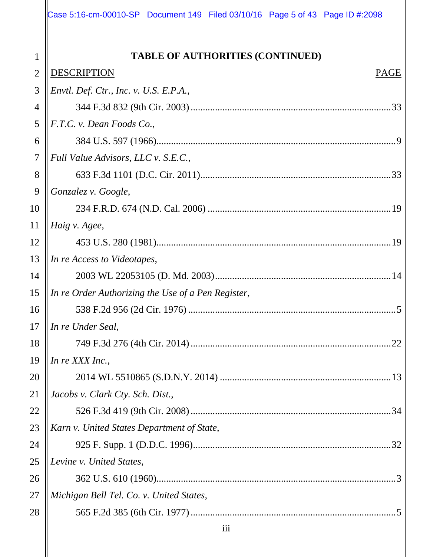1  $\sim$ 

 $\mathbf{\mathsf{I}}$ 

| $\overline{2}$ | <b>DESCRIPTION</b><br>PAGE                         |
|----------------|----------------------------------------------------|
| 3              | Envtl. Def. Ctr., Inc. v. U.S. E.P.A.,             |
| 4              |                                                    |
| 5              | F.T.C. v. Dean Foods Co.,                          |
| 6              |                                                    |
| 7              | Full Value Advisors, LLC v. S.E.C.,                |
| 8              |                                                    |
| 9              | Gonzalez v. Google,                                |
| 10             |                                                    |
| 11             | Haig v. Agee,                                      |
| 12             |                                                    |
| 13             | In re Access to Videotapes,                        |
| 14             |                                                    |
| 15             | In re Order Authorizing the Use of a Pen Register, |
| 16             |                                                    |
| 17             | In re Under Seal,                                  |
| 18             |                                                    |
| 19             | In re XXX Inc.,                                    |
| 20             |                                                    |
| 21             | Jacobs v. Clark Cty. Sch. Dist.,                   |
| 22             |                                                    |
| 23             | Karn v. United States Department of State,         |
| 24             |                                                    |
| 25             | Levine v. United States,                           |
| 26             |                                                    |
| 27             | Michigan Bell Tel. Co. v. United States,           |
| 28             |                                                    |
|                | $\overline{111}$                                   |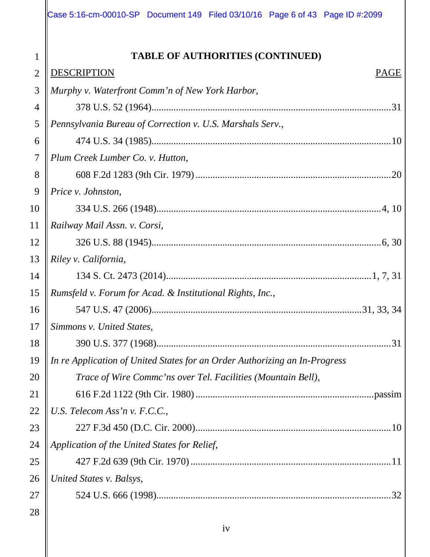| $\overline{2}$ | DESCRIPTION<br><b>PAGE</b>                                                 |
|----------------|----------------------------------------------------------------------------|
| 3              | Murphy v. Waterfront Comm'n of New York Harbor,                            |
| $\overline{4}$ |                                                                            |
| 5              | Pennsylvania Bureau of Correction v. U.S. Marshals Serv.,                  |
| 6              |                                                                            |
| $\overline{7}$ | Plum Creek Lumber Co. v. Hutton,                                           |
| 8              | .20                                                                        |
| 9              | Price v. Johnston,                                                         |
| 10             |                                                                            |
| 11             | Railway Mail Assn. v. Corsi,                                               |
| 12             |                                                                            |
| 13             | Riley v. California,                                                       |
| 14             |                                                                            |
| 15             | Rumsfeld v. Forum for Acad. & Institutional Rights, Inc.,                  |
| 16             |                                                                            |
| 17             | Simmons v. United States,                                                  |
| 18             | 31                                                                         |
| 19             | In re Application of United States for an Order Authorizing an In-Progress |
| 20             | Trace of Wire Commc'ns over Tel. Facilities (Mountain Bell),               |
| 21             |                                                                            |
| 22             | U.S. Telecom Ass'n v. F.C.C.,                                              |
| 23             |                                                                            |
| 24             | Application of the United States for Relief,                               |
| 25             |                                                                            |
| 26             | United States v. Balsys,                                                   |
| 27             |                                                                            |
| 28             |                                                                            |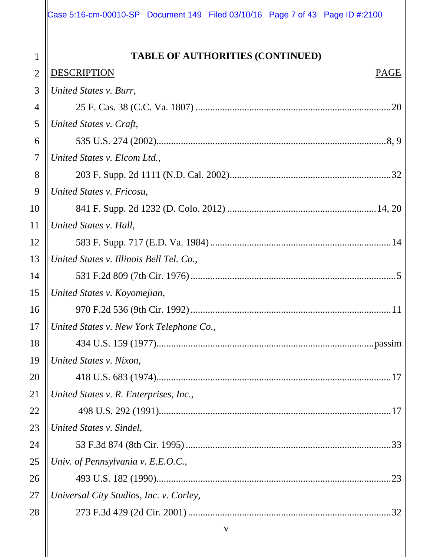| 2  | <b>DESCRIPTION</b><br><b>PAGE</b>        |
|----|------------------------------------------|
| 3  | United States v. Burr,                   |
| 4  |                                          |
| 5  | United States v. Craft,                  |
| 6  |                                          |
| 7  | United States v. Elcom Ltd.,             |
| 8  |                                          |
| 9  | United States v. Fricosu,                |
| 10 |                                          |
| 11 | United States v. Hall,                   |
| 12 |                                          |
| 13 | United States v. Illinois Bell Tel. Co., |
| 14 |                                          |
| 15 | United States v. Koyomejian,             |
| 16 |                                          |
| 17 | United States v. New York Telephone Co., |
| 18 |                                          |
| 19 | United States v. Nixon,                  |
| 20 |                                          |
| 21 | United States v. R. Enterprises, Inc.,   |
| 22 |                                          |
| 23 | United States v. Sindel,                 |
| 24 |                                          |
| 25 | Univ. of Pennsylvania v. E.E.O.C.,       |
| 26 | .23                                      |
| 27 | Universal City Studios, Inc. v. Corley,  |
| 28 |                                          |
|    | V                                        |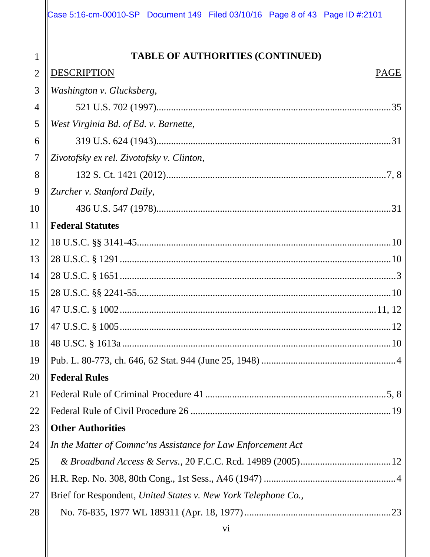| $\overline{2}$ | <b>DESCRIPTION</b><br>PAGE                                     |
|----------------|----------------------------------------------------------------|
| 3              | Washington v. Glucksberg,                                      |
| 4              |                                                                |
| 5              | West Virginia Bd. of Ed. v. Barnette,                          |
| 6              |                                                                |
| 7              | Zivotofsky ex rel. Zivotofsky v. Clinton,                      |
| 8              |                                                                |
| 9              | Zurcher v. Stanford Daily,                                     |
| 10             |                                                                |
| 11             | <b>Federal Statutes</b>                                        |
| 12             |                                                                |
| 13             |                                                                |
| 14             |                                                                |
| 15             |                                                                |
| 16             |                                                                |
| 17             |                                                                |
| 18             |                                                                |
| 19             |                                                                |
| 20             | <b>Federal Rules</b>                                           |
| 21             |                                                                |
| 22             |                                                                |
| 23             | <b>Other Authorities</b>                                       |
| 24             | In the Matter of Commc'ns Assistance for Law Enforcement Act   |
| 25             |                                                                |
| 26             |                                                                |
| 27             | Brief for Respondent, United States v. New York Telephone Co., |
| 28             |                                                                |
|                | V <sub>i</sub>                                                 |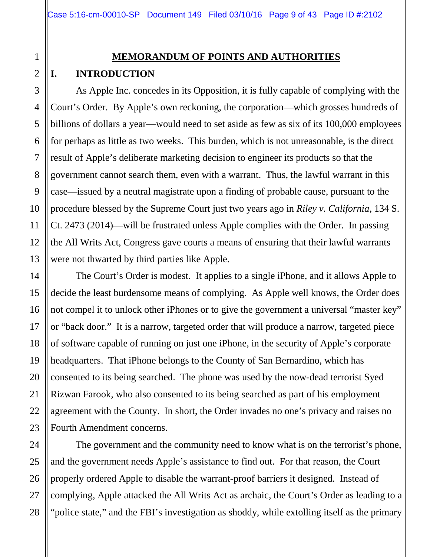#### **MEMORANDUM OF POINTS AND AUTHORITIES**

#### **I. INTRODUCTION**

As Apple Inc. concedes in its Opposition, it is fully capable of complying with the Court's Order. By Apple's own reckoning, the corporation—which grosses hundreds of billions of dollars a year—would need to set aside as few as six of its 100,000 employees for perhaps as little as two weeks. This burden, which is not unreasonable, is the direct result of Apple's deliberate marketing decision to engineer its products so that the government cannot search them, even with a warrant. Thus, the lawful warrant in this case—issued by a neutral magistrate upon a finding of probable cause, pursuant to the procedure blessed by the Supreme Court just two years ago in *Riley v. California*, 134 S. Ct. 2473 (2014)—will be frustrated unless Apple complies with the Order. In passing the All Writs Act, Congress gave courts a means of ensuring that their lawful warrants were not thwarted by third parties like Apple.

The Court's Order is modest. It applies to a single iPhone, and it allows Apple to decide the least burdensome means of complying. As Apple well knows, the Order does not compel it to unlock other iPhones or to give the government a universal "master key" or "back door." It is a narrow, targeted order that will produce a narrow, targeted piece of software capable of running on just one iPhone, in the security of Apple's corporate headquarters. That iPhone belongs to the County of San Bernardino, which has consented to its being searched. The phone was used by the now-dead terrorist Syed Rizwan Farook, who also consented to its being searched as part of his employment agreement with the County. In short, the Order invades no one's privacy and raises no Fourth Amendment concerns.

The government and the community need to know what is on the terrorist's phone, and the government needs Apple's assistance to find out. For that reason, the Court properly ordered Apple to disable the warrant-proof barriers it designed. Instead of complying, Apple attacked the All Writs Act as archaic, the Court's Order as leading to a "police state," and the FBI's investigation as shoddy, while extolling itself as the primary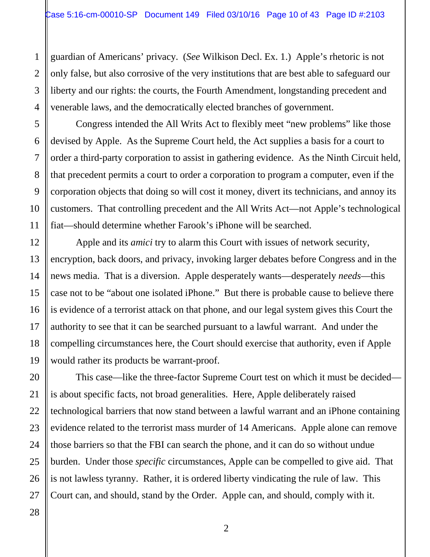guardian of Americans' privacy. (*See* Wilkison Decl. Ex. 1.) Apple's rhetoric is not only false, but also corrosive of the very institutions that are best able to safeguard our liberty and our rights: the courts, the Fourth Amendment, longstanding precedent and venerable laws, and the democratically elected branches of government.

Congress intended the All Writs Act to flexibly meet "new problems" like those devised by Apple. As the Supreme Court held, the Act supplies a basis for a court to order a third-party corporation to assist in gathering evidence. As the Ninth Circuit held, that precedent permits a court to order a corporation to program a computer, even if the corporation objects that doing so will cost it money, divert its technicians, and annoy its customers. That controlling precedent and the All Writs Act—not Apple's technological fiat—should determine whether Farook's iPhone will be searched.

Apple and its *amici* try to alarm this Court with issues of network security, encryption, back doors, and privacy, invoking larger debates before Congress and in the news media. That is a diversion. Apple desperately wants—desperately *needs*—this case not to be "about one isolated iPhone." But there is probable cause to believe there is evidence of a terrorist attack on that phone, and our legal system gives this Court the authority to see that it can be searched pursuant to a lawful warrant. And under the compelling circumstances here, the Court should exercise that authority, even if Apple would rather its products be warrant-proof.

This case—like the three-factor Supreme Court test on which it must be decided is about specific facts, not broad generalities. Here, Apple deliberately raised technological barriers that now stand between a lawful warrant and an iPhone containing evidence related to the terrorist mass murder of 14 Americans. Apple alone can remove those barriers so that the FBI can search the phone, and it can do so without undue burden. Under those *specific* circumstances, Apple can be compelled to give aid. That is not lawless tyranny. Rather, it is ordered liberty vindicating the rule of law. This Court can, and should, stand by the Order. Apple can, and should, comply with it.

1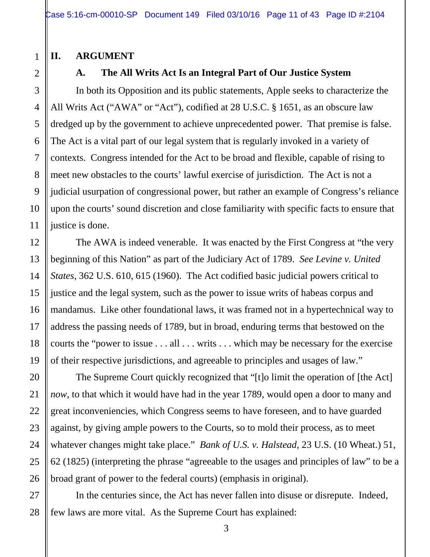#### **II. ARGUMENT**

#### **A. The All Writs Act Is an Integral Part of Our Justice System**

In both its Opposition and its public statements, Apple seeks to characterize the All Writs Act ("AWA" or "Act"), codified at 28 U.S.C. § 1651, as an obscure law dredged up by the government to achieve unprecedented power. That premise is false. The Act is a vital part of our legal system that is regularly invoked in a variety of contexts. Congress intended for the Act to be broad and flexible, capable of rising to meet new obstacles to the courts' lawful exercise of jurisdiction. The Act is not a judicial usurpation of congressional power, but rather an example of Congress's reliance upon the courts' sound discretion and close familiarity with specific facts to ensure that justice is done.

The AWA is indeed venerable. It was enacted by the First Congress at "the very beginning of this Nation" as part of the Judiciary Act of 1789. *See Levine v. United States*, 362 U.S. 610, 615 (1960). The Act codified basic judicial powers critical to justice and the legal system, such as the power to issue writs of habeas corpus and mandamus. Like other foundational laws, it was framed not in a hypertechnical way to address the passing needs of 1789, but in broad, enduring terms that bestowed on the courts the "power to issue . . . all . . . writs . . . which may be necessary for the exercise of their respective jurisdictions, and agreeable to principles and usages of law."

The Supreme Court quickly recognized that "[t]o limit the operation of [the Act] *now*, to that which it would have had in the year 1789, would open a door to many and great inconveniencies, which Congress seems to have foreseen, and to have guarded against, by giving ample powers to the Courts, so to mold their process, as to meet whatever changes might take place." *Bank of U.S. v. Halstead*, 23 U.S. (10 Wheat.) 51, 62 (1825) (interpreting the phrase "agreeable to the usages and principles of law" to be a broad grant of power to the federal courts) (emphasis in original).

In the centuries since, the Act has never fallen into disuse or disrepute. Indeed, few laws are more vital. As the Supreme Court has explained: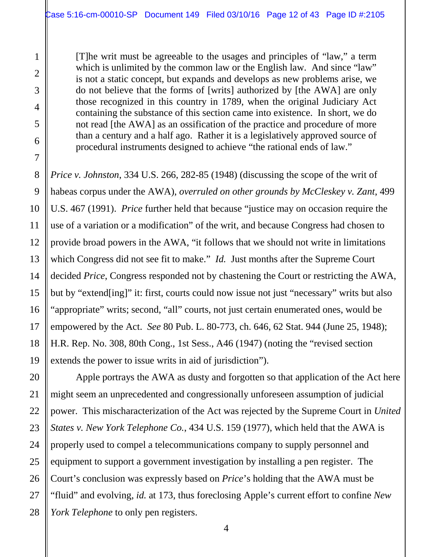[T]he writ must be agreeable to the usages and principles of "law," a term which is unlimited by the common law or the English law. And since "law" is not a static concept, but expands and develops as new problems arise, we do not believe that the forms of [writs] authorized by [the AWA] are only those recognized in this country in 1789, when the original Judiciary Act containing the substance of this section came into existence. In short, we do not read [the AWA] as an ossification of the practice and procedure of more than a century and a half ago. Rather it is a legislatively approved source of procedural instruments designed to achieve "the rational ends of law."

*Price v. Johnston*, 334 U.S. 266, 282-85 (1948) (discussing the scope of the writ of habeas corpus under the AWA), *overruled on other grounds by McCleskey v. Zant*, 499 U.S. 467 (1991). *Price* further held that because "justice may on occasion require the use of a variation or a modification" of the writ, and because Congress had chosen to provide broad powers in the AWA, "it follows that we should not write in limitations which Congress did not see fit to make." *Id.* Just months after the Supreme Court decided *Price*, Congress responded not by chastening the Court or restricting the AWA, but by "extend[ing]" it: first, courts could now issue not just "necessary" writs but also "appropriate" writs; second, "all" courts, not just certain enumerated ones, would be empowered by the Act. *See* 80 Pub. L. 80-773, ch. 646, 62 Stat. 944 (June 25, 1948); H.R. Rep. No. 308, 80th Cong., 1st Sess., A46 (1947) (noting the "revised section extends the power to issue writs in aid of jurisdiction").

Apple portrays the AWA as dusty and forgotten so that application of the Act here might seem an unprecedented and congressionally unforeseen assumption of judicial power. This mischaracterization of the Act was rejected by the Supreme Court in *United States v. New York Telephone Co.*, 434 U.S. 159 (1977), which held that the AWA is properly used to compel a telecommunications company to supply personnel and equipment to support a government investigation by installing a pen register. The Court's conclusion was expressly based on *Price*'s holding that the AWA must be "fluid" and evolving, *id.* at 173, thus foreclosing Apple's current effort to confine *New York Telephone* to only pen registers.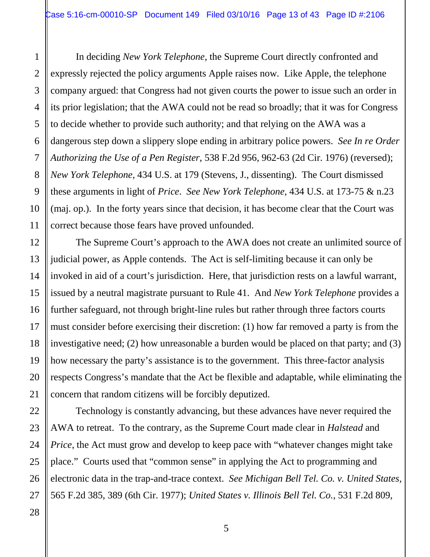In deciding *New York Telephone*, the Supreme Court directly confronted and expressly rejected the policy arguments Apple raises now*.* Like Apple, the telephone company argued: that Congress had not given courts the power to issue such an order in its prior legislation; that the AWA could not be read so broadly; that it was for Congress to decide whether to provide such authority; and that relying on the AWA was a dangerous step down a slippery slope ending in arbitrary police powers. *See In re Order Authorizing the Use of a Pen Register*, 538 F.2d 956, 962-63 (2d Cir. 1976) (reversed); *New York Telephone*, 434 U.S. at 179 (Stevens, J., dissenting). The Court dismissed these arguments in light of *Price*. *See New York Telephone*, 434 U.S. at 173-75 & n.23 (maj. op.). In the forty years since that decision, it has become clear that the Court was correct because those fears have proved unfounded.

The Supreme Court's approach to the AWA does not create an unlimited source of judicial power, as Apple contends. The Act is self-limiting because it can only be invoked in aid of a court's jurisdiction. Here, that jurisdiction rests on a lawful warrant, issued by a neutral magistrate pursuant to Rule 41. And *New York Telephone* provides a further safeguard, not through bright-line rules but rather through three factors courts must consider before exercising their discretion: (1) how far removed a party is from the investigative need; (2) how unreasonable a burden would be placed on that party; and (3) how necessary the party's assistance is to the government. This three-factor analysis respects Congress's mandate that the Act be flexible and adaptable, while eliminating the concern that random citizens will be forcibly deputized.

Technology is constantly advancing, but these advances have never required the AWA to retreat. To the contrary, as the Supreme Court made clear in *Halstead* and *Price*, the Act must grow and develop to keep pace with "whatever changes might take" place." Courts used that "common sense" in applying the Act to programming and electronic data in the trap-and-trace context. *See Michigan Bell Tel. Co. v. United States*, 565 F.2d 385, 389 (6th Cir. 1977); *United States v. Illinois Bell Tel. Co.*, 531 F.2d 809,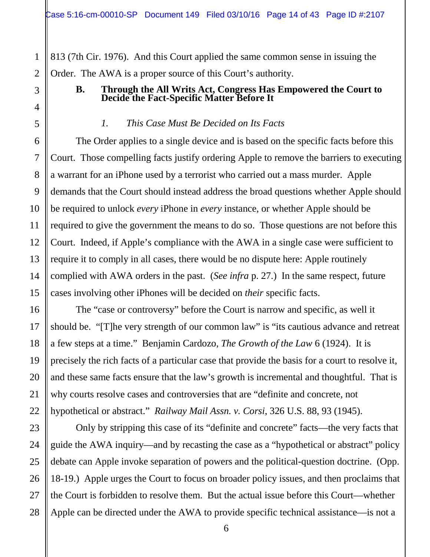813 (7th Cir. 1976). And this Court applied the same common sense in issuing the Order. The AWA is a proper source of this Court's authority.

#### **B. Through the All Writs Act, Congress Has Empowered the Court to Decide the Fact-Specific Matter Before It**

#### *1. This Case Must Be Decided on Its Facts*

The Order applies to a single device and is based on the specific facts before this Court. Those compelling facts justify ordering Apple to remove the barriers to executing a warrant for an iPhone used by a terrorist who carried out a mass murder. Apple demands that the Court should instead address the broad questions whether Apple should be required to unlock *every* iPhone in *every* instance, or whether Apple should be required to give the government the means to do so. Those questions are not before this Court. Indeed, if Apple's compliance with the AWA in a single case were sufficient to require it to comply in all cases, there would be no dispute here: Apple routinely complied with AWA orders in the past. (*See infra* p. 27.) In the same respect, future cases involving other iPhones will be decided on *their* specific facts.

The "case or controversy" before the Court is narrow and specific, as well it should be. "[T]he very strength of our common law" is "its cautious advance and retreat a few steps at a time." Benjamin Cardozo, *The Growth of the Law* 6 (1924). It is precisely the rich facts of a particular case that provide the basis for a court to resolve it, and these same facts ensure that the law's growth is incremental and thoughtful. That is why courts resolve cases and controversies that are "definite and concrete, not hypothetical or abstract." *Railway Mail Assn. v. Corsi*, 326 U.S. 88, 93 (1945).

Only by stripping this case of its "definite and concrete" facts—the very facts that guide the AWA inquiry—and by recasting the case as a "hypothetical or abstract" policy debate can Apple invoke separation of powers and the political-question doctrine. (Opp. 18-19.) Apple urges the Court to focus on broader policy issues, and then proclaims that the Court is forbidden to resolve them. But the actual issue before this Court—whether Apple can be directed under the AWA to provide specific technical assistance—is not a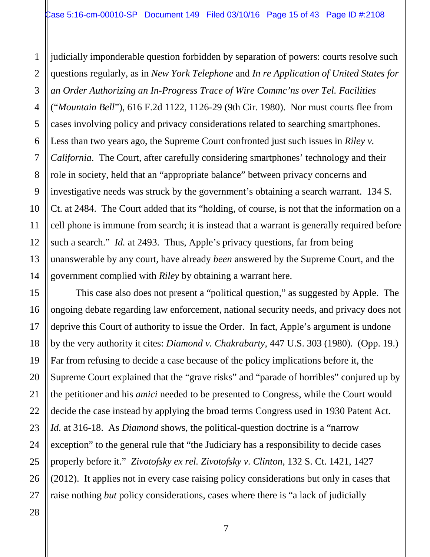1 2 3 4 5 6 7 8 9 10 11 12 13 14 judicially imponderable question forbidden by separation of powers: courts resolve such questions regularly, as in *New York Telephone* and *In re Application of United States for an Order Authorizing an In-Progress Trace of Wire Commc'ns over Tel. Facilities*  ("*Mountain Bell*"), 616 F.2d 1122, 1126-29 (9th Cir. 1980). Nor must courts flee from cases involving policy and privacy considerations related to searching smartphones. Less than two years ago, the Supreme Court confronted just such issues in *Riley v. California*. The Court, after carefully considering smartphones' technology and their role in society, held that an "appropriate balance" between privacy concerns and investigative needs was struck by the government's obtaining a search warrant. 134 S. Ct. at 2484. The Court added that its "holding, of course, is not that the information on a cell phone is immune from search; it is instead that a warrant is generally required before such a search." *Id.* at 2493. Thus, Apple's privacy questions, far from being unanswerable by any court, have already *been* answered by the Supreme Court, and the government complied with *Riley* by obtaining a warrant here.

This case also does not present a "political question," as suggested by Apple. The ongoing debate regarding law enforcement, national security needs, and privacy does not deprive this Court of authority to issue the Order. In fact, Apple's argument is undone by the very authority it cites: *Diamond v. Chakrabarty*, 447 U.S. 303 (1980). (Opp. 19.) Far from refusing to decide a case because of the policy implications before it, the Supreme Court explained that the "grave risks" and "parade of horribles" conjured up by the petitioner and his *amici* needed to be presented to Congress, while the Court would decide the case instead by applying the broad terms Congress used in 1930 Patent Act. *Id.* at 316-18. As *Diamond* shows, the political-question doctrine is a "narrow exception" to the general rule that "the Judiciary has a responsibility to decide cases properly before it." *Zivotofsky ex rel. Zivotofsky v. Clinton*, 132 S. Ct. 1421, 1427 (2012). It applies not in every case raising policy considerations but only in cases that raise nothing *but* policy considerations, cases where there is "a lack of judicially

15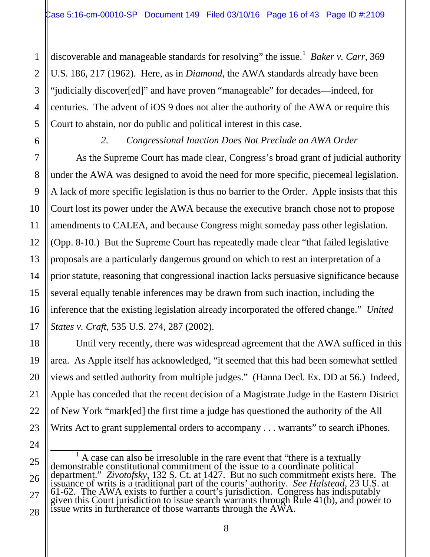discoverable and manageable standards for resolving" the issue. 1 *Baker v. Carr*, 369 U.S. 186, 217 (1962). Here, as in *Diamond*, the AWA standards already have been "judicially discover[ed]" and have proven "manageable" for decades—indeed, for centuries. The advent of iOS 9 does not alter the authority of the AWA or require this Court to abstain, nor do public and political interest in this case.

1

2

3

4

5

6

7

8

9

10

11

12

13

14

15

16

17

18

19

20

21

22

23

24

#### *2. Congressional Inaction Does Not Preclude an AWA Order*

As the Supreme Court has made clear, Congress's broad grant of judicial authority under the AWA was designed to avoid the need for more specific, piecemeal legislation. A lack of more specific legislation is thus no barrier to the Order. Apple insists that this Court lost its power under the AWA because the executive branch chose not to propose amendments to CALEA, and because Congress might someday pass other legislation. (Opp. 8-10.) But the Supreme Court has repeatedly made clear "that failed legislative proposals are a particularly dangerous ground on which to rest an interpretation of a prior statute, reasoning that congressional inaction lacks persuasive significance because several equally tenable inferences may be drawn from such inaction, including the inference that the existing legislation already incorporated the offered change." *United States v. Craft*, 535 U.S. 274, 287 (2002).

Until very recently, there was widespread agreement that the AWA sufficed in this area. As Apple itself has acknowledged, "it seemed that this had been somewhat settled views and settled authority from multiple judges." (Hanna Decl. Ex. DD at 56.) Indeed, Apple has conceded that the recent decision of a Magistrate Judge in the Eastern District of New York "mark[ed] the first time a judge has questioned the authority of the All Writs Act to grant supplemental orders to accompany . . . warrants" to search iPhones.

<sup>25</sup> 26 27 28 <sup>1</sup> A case can also be irresoluble in the rare event that "there is a textually demonstrable constitutional commitment of the issue to a coordinate political department." *Zivotofsky*, 132 S. Ct. at 1427. But no such commitment exists here. The issuance of writs is a traditional part of the courts' authority. *See Halstead*, 23 U.S. at 61-62. The AWA exists to further a court's jurisdiction. Congress has indisputably given this Court jurisdiction to issue search warrants through Rule 41(b), and power to issue writs in furtherance of those warrants through the AWA.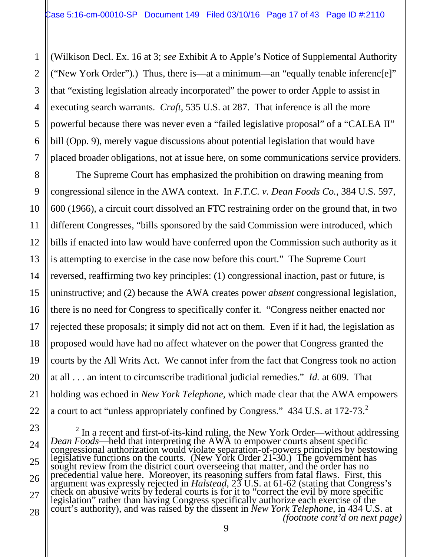2

3

4

5

6

7

8

9

10

11

12

13

14

15

16

17

18

19

20

21

22

(Wilkison Decl. Ex. 16 at 3; *see* Exhibit A to Apple's Notice of Supplemental Authority ("New York Order").) Thus, there is—at a minimum—an "equally tenable inferenc[e]" that "existing legislation already incorporated" the power to order Apple to assist in executing search warrants. *Craft*, 535 U.S. at 287. That inference is all the more powerful because there was never even a "failed legislative proposal" of a "CALEA II" bill (Opp. 9), merely vague discussions about potential legislation that would have placed broader obligations, not at issue here, on some communications service providers.

The Supreme Court has emphasized the prohibition on drawing meaning from congressional silence in the AWA context. In *F.T.C. v. Dean Foods Co.*, 384 U.S. 597, 600 (1966), a circuit court dissolved an FTC restraining order on the ground that, in two different Congresses, "bills sponsored by the said Commission were introduced, which bills if enacted into law would have conferred upon the Commission such authority as it is attempting to exercise in the case now before this court." The Supreme Court reversed, reaffirming two key principles: (1) congressional inaction, past or future, is uninstructive; and (2) because the AWA creates power *absent* congressional legislation, there is no need for Congress to specifically confer it. "Congress neither enacted nor rejected these proposals; it simply did not act on them. Even if it had, the legislation as proposed would have had no affect whatever on the power that Congress granted the courts by the All Writs Act. We cannot infer from the fact that Congress took no action at all . . . an intent to circumscribe traditional judicial remedies." *Id.* at 609. That holding was echoed in *New York Telephone*, which made clear that the AWA empowers a court to act "unless appropriately confined by Congress." 434 U.S. at 172-73.<sup>2</sup>

<sup>23</sup> 24 25 26 27 28 <sup>2</sup> In a recent and first-of-its-kind ruling, the New York Order—without addressing *Dean Foods*—held that interpreting the AWA to empower courts absent specific congressional authorization would violate separation-of-pow precedential value here. Moreover, its reasoning suffers from fatal flaws. First, this argument was expressly rejected in *Halstead*, 23 U.S. at 61-62 (stating that Congress's check on abusive writs by federal courts is for it to "correct the evil by more specific<br>legislation" rather than having Congress specifically authorize each exercise of the<br>court's authority), and was raised by the dissen *(footnote cont'd on next page)*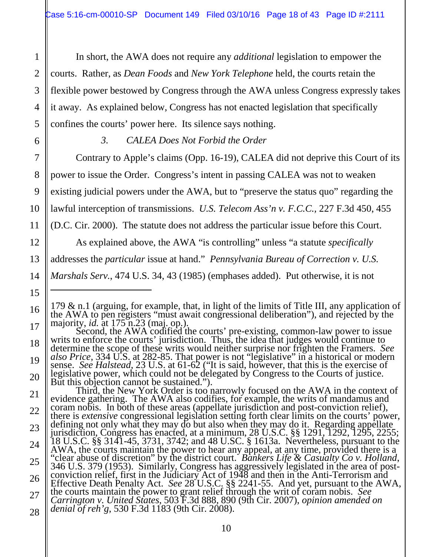In short, the AWA does not require any *additional* legislation to empower the courts. Rather, as *Dean Foods* and *New York Telephone* held, the courts retain the flexible power bestowed by Congress through the AWA unless Congress expressly takes it away. As explained below, Congress has not enacted legislation that specifically confines the courts' power here. Its silence says nothing.

1

2

3

4

5

6

7

8

9

10

11

12

13

15

 $\overline{a}$ 

16

*3. CALEA Does Not Forbid the Order*

Contrary to Apple's claims (Opp. 16-19), CALEA did not deprive this Court of its

power to issue the Order. Congress's intent in passing CALEA was not to weaken

existing judicial powers under the AWA, but to "preserve the status quo" regarding the

lawful interception of transmissions. *U.S. Telecom Ass'n v. F.C.C.,* 227 F.3d 450, 455

(D.C. Cir. 2000). The statute does not address the particular issue before this Court.

As explained above, the AWA "is controlling" unless "a statute *specifically*

addresses the *particular* issue at hand." *Pennsylvania Bureau of Correction v. U.S.* 

14 *Marshals Serv.*, 474 U.S. 34, 43 (1985) (emphases added). Put otherwise, it is not

21 22 23 24 25 26 27 But this objection cannot be sustained.").<br>But this objection cannot be sustained.").<br>Third, the New York Order is too narrowly focused on the AWA in the context of<br>evidence gathering. The AWA also codifies, for example, t coram nobis. In both of these areas (appellate jurisdiction and post-conviction relief),<br>there is *extensive* congressional legislation setting forth clear limits on the courts' power,<br>defining not only what they may do bu derling not only what they hay do but also when they H.C. §§ 1291, 1292, 1295, 2255;<br>jurisdiction, Congress has enacted, at a minimum, 28 U.S.C. §§ 1291, 1292, 1295, 2255;<br>18 U.S.C. §§ 3141-45, 3731, 3742; and 48 U.SC. § 1 AWA, the courts maintain the power to hear any appeal, at any time, provided there is a "clear abuse of discretion" by the district court. *Bankers Life & Casualty Co v. Holland*, "clear abuse of discretion" by the district court. *Bankers Life & Casualty Co v. Holland*, 346 U.S. 379 (1953). Similarly, Congress has aggressively legislated in the area of post-<br>conviction relief, first in the Judiciar Effective Death Penalty Act. *See* 28 U.S.C. §§ 2241-55. And yet, pursuant to the AWA, the courts maintain the power to grant relief through the writ of coram nobis. *See Carrington v. United States*, 503 F.3d 888, 890 (9th Cir. 2007), *opinion amended on denial of reh'g*, 530 F.3d 1183 (9th Cir. 2008).

<sup>179 &</sup>amp; n.1 (arguing, for example, that, in light of the limits of Title III, any application of<br>the AWA to pen registers "must await congressional deliberation"), and rejected by the<br>majority, *id.* at 175 n.23 (maj. op.).

<sup>17</sup> 18 19 20 determine the scope of these writs would neither surprise nor frighten the Framers. *See also Price*, 334 U.S. at 282-85. That power is not "legislative" in a historical or modern sense. *See Halstead*, 23 U.S. at 61-62 ("It is said, however, that this is the exercise of legislative power, which could not be delegated by Congress to the Courts of justice.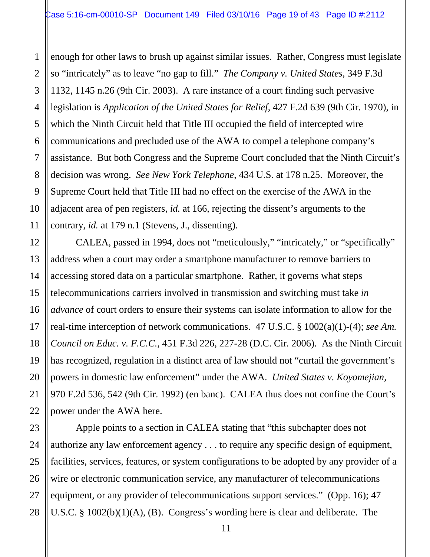enough for other laws to brush up against similar issues. Rather, Congress must legislate so "intricately" as to leave "no gap to fill." *The Company v. United States*, 349 F.3d 1132, 1145 n.26 (9th Cir. 2003). A rare instance of a court finding such pervasive legislation is *Application of the United States for Relief*, 427 F.2d 639 (9th Cir. 1970), in which the Ninth Circuit held that Title III occupied the field of intercepted wire communications and precluded use of the AWA to compel a telephone company's assistance. But both Congress and the Supreme Court concluded that the Ninth Circuit's decision was wrong. *See New York Telephone*, 434 U.S. at 178 n.25. Moreover, the Supreme Court held that Title III had no effect on the exercise of the AWA in the adjacent area of pen registers, *id.* at 166, rejecting the dissent's arguments to the contrary, *id.* at 179 n.1 (Stevens, J., dissenting).

CALEA, passed in 1994, does not "meticulously," "intricately," or "specifically" address when a court may order a smartphone manufacturer to remove barriers to accessing stored data on a particular smartphone. Rather, it governs what steps telecommunications carriers involved in transmission and switching must take *in advance* of court orders to ensure their systems can isolate information to allow for the real-time interception of network communications. 47 U.S.C. § 1002(a)(1)-(4); *see Am. Council on Educ. v. F.C.C.*, 451 F.3d 226, 227-28 (D.C. Cir. 2006). As the Ninth Circuit has recognized, regulation in a distinct area of law should not "curtail the government's powers in domestic law enforcement" under the AWA. *United States v. Koyomejian*, 970 F.2d 536, 542 (9th Cir. 1992) (en banc). CALEA thus does not confine the Court's power under the AWA here.

Apple points to a section in CALEA stating that "this subchapter does not authorize any law enforcement agency . . . to require any specific design of equipment, facilities, services, features, or system configurations to be adopted by any provider of a wire or electronic communication service, any manufacturer of telecommunications equipment, or any provider of telecommunications support services." (Opp. 16); 47 U.S.C. § 1002(b)(1)(A), (B). Congress's wording here is clear and deliberate. The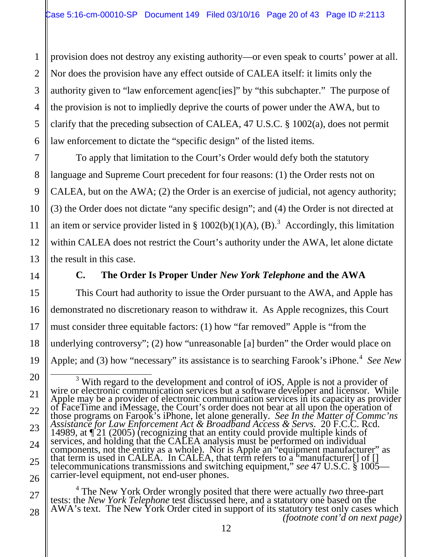provision does not destroy any existing authority—or even speak to courts' power at all. Nor does the provision have any effect outside of CALEA itself: it limits only the authority given to "law enforcement agenc[ies]" by "this subchapter." The purpose of the provision is not to impliedly deprive the courts of power under the AWA, but to clarify that the preceding subsection of CALEA, 47 U.S.C. § 1002(a), does not permit law enforcement to dictate the "specific design" of the listed items.

To apply that limitation to the Court's Order would defy both the statutory language and Supreme Court precedent for four reasons: (1) the Order rests not on CALEA, but on the AWA; (2) the Order is an exercise of judicial, not agency authority; (3) the Order does not dictate "any specific design"; and (4) the Order is not directed at an item or service provider listed in §  $1002(b)(1)(A)$ , (B).<sup>3</sup> Accordingly, this limitation within CALEA does not restrict the Court's authority under the AWA, let alone dictate the result in this case.

1

2

3

4

5

6

7

8

9

10

11

12

13

14

15

16

17

18

19

#### **C. The Order Is Proper Under** *New York Telephone* **and the AWA**

This Court had authority to issue the Order pursuant to the AWA, and Apple has demonstrated no discretionary reason to withdraw it. As Apple recognizes, this Court must consider three equitable factors: (1) how "far removed" Apple is "from the underlying controversy"; (2) how "unreasonable [a] burden" the Order would place on Apple; and (3) how "necessary" its assistance is to searching Farook's iPhone.<sup>4</sup> See New

27 28 <sup>4</sup> The New York Order wrongly posited that there were actually *two* three-part tests: the *New York Telephone* test discussed here, and a statutory one based on the AWA's text. The New York Order cited in support of its *(footnote cont'd on next page)*

<sup>20</sup> 21 22 23 24 25 26 <sup>3</sup> With regard to the development and control of iOS, Apple is not a provider of wire or electronic communication services but a software developer and licensor. While Apple may be a provider of electronic communication 14989, at  $\P$  21 (2005) (recognizing that an entity could provide multiple kinds of services, and holding that the CALEA analysis must be performed on individual components, not the entity as a whole). Nor is Apple an "equipment manufacturer" as that term is used in CALEA. In CALEA, that term refers to a "manufacturer  $[]$  of  $[]$ telecommunications transmissions and switching equipment," *see* 47 U.S.C. § 1005— carrier-level equipment, not end-user phones.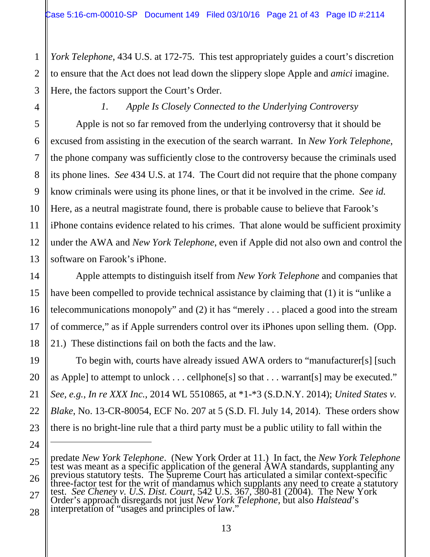*York Telephone*, 434 U.S. at 172-75. This test appropriately guides a court's discretion to ensure that the Act does not lead down the slippery slope Apple and *amici* imagine. Here, the factors support the Court's Order.

#### *1. Apple Is Closely Connected to the Underlying Controversy*

Apple is not so far removed from the underlying controversy that it should be excused from assisting in the execution of the search warrant. In *New York Telephone*, the phone company was sufficiently close to the controversy because the criminals used its phone lines. *See* 434 U.S. at 174. The Court did not require that the phone company know criminals were using its phone lines, or that it be involved in the crime. *See id.* Here, as a neutral magistrate found, there is probable cause to believe that Farook's iPhone contains evidence related to his crimes. That alone would be sufficient proximity under the AWA and *New York Telephone*, even if Apple did not also own and control the software on Farook's iPhone.

Apple attempts to distinguish itself from *New York Telephone* and companies that have been compelled to provide technical assistance by claiming that (1) it is "unlike a telecommunications monopoly" and (2) it has "merely . . . placed a good into the stream of commerce," as if Apple surrenders control over its iPhones upon selling them. (Opp. 21.) These distinctions fail on both the facts and the law.

To begin with, courts have already issued AWA orders to "manufacturer[s] [such as Apple] to attempt to unlock . . . cellphone[s] so that . . . warrant[s] may be executed." *See, e.g.*, *In re XXX Inc.*, 2014 WL 5510865, at \*1-\*3 (S.D.N.Y. 2014); *United States v. Blake*, No. 13-CR-80054, ECF No. 207 at 5 (S.D. Fl. July 14, 2014). These orders show there is no bright-line rule that a third party must be a public utility to fall within the

 $\overline{a}$ 

predate *New York Telephone*. (New York Order at 11.) In fact, the *New York Telephone* test was meant as a specific application of the general AWA standards, supplanting any previous statutory tests. The Supreme Court has articulated a similar context-specific<br>three-factor test for the writ of mandamus which supplants any need to create a statutory

test. *See Cheney v. U.S. Dist. Court*, 542 U.S. 367, 380-81 (2004). The New York Order's approach disregards not just *New York Telephone,* but also *Halstead*'s interpretation of "usages and principles of law."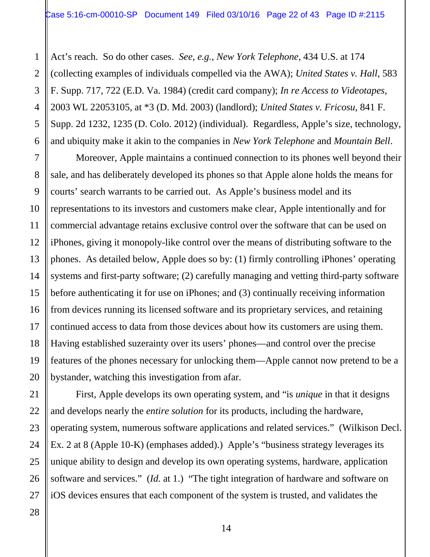Act's reach. So do other cases. *See, e.g.*, *New York Telephone*, 434 U.S. at 174 (collecting examples of individuals compelled via the AWA); *United States v. Hall*, 583 F. Supp. 717, 722 (E.D. Va. 1984) (credit card company); *In re Access to Videotapes*, 2003 WL 22053105, at \*3 (D. Md. 2003) (landlord); *United States v. Fricosu*, 841 F. Supp. 2d 1232, 1235 (D. Colo. 2012) (individual). Regardless, Apple's size, technology, and ubiquity make it akin to the companies in *New York Telephone* and *Mountain Bell*.

Moreover, Apple maintains a continued connection to its phones well beyond their sale, and has deliberately developed its phones so that Apple alone holds the means for courts' search warrants to be carried out. As Apple's business model and its representations to its investors and customers make clear, Apple intentionally and for commercial advantage retains exclusive control over the software that can be used on iPhones, giving it monopoly-like control over the means of distributing software to the phones. As detailed below, Apple does so by: (1) firmly controlling iPhones' operating systems and first-party software; (2) carefully managing and vetting third-party software before authenticating it for use on iPhones; and (3) continually receiving information from devices running its licensed software and its proprietary services, and retaining continued access to data from those devices about how its customers are using them. Having established suzerainty over its users' phones—and control over the precise features of the phones necessary for unlocking them—Apple cannot now pretend to be a bystander, watching this investigation from afar.

First, Apple develops its own operating system, and "is *unique* in that it designs and develops nearly the *entire solution* for its products, including the hardware, operating system, numerous software applications and related services." (Wilkison Decl. Ex. 2 at 8 (Apple 10-K) (emphases added).) Apple's "business strategy leverages its unique ability to design and develop its own operating systems, hardware, application software and services." (*Id.* at 1.) "The tight integration of hardware and software on iOS devices ensures that each component of the system is trusted, and validates the

1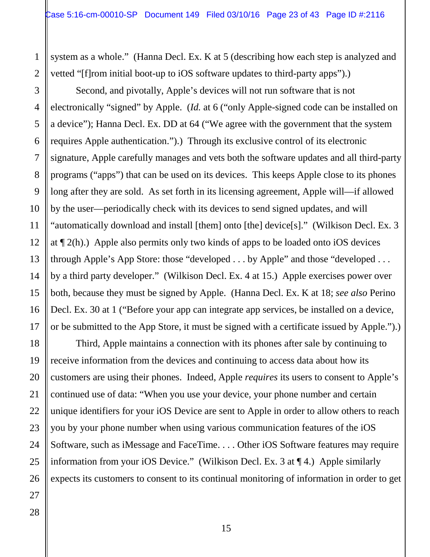system as a whole." (Hanna Decl. Ex. K at 5 (describing how each step is analyzed and vetted "[f]rom initial boot-up to iOS software updates to third-party apps").)

Second, and pivotally, Apple's devices will not run software that is not electronically "signed" by Apple. (*Id.* at 6 ("only Apple-signed code can be installed on a device"); Hanna Decl. Ex. DD at 64 ("We agree with the government that the system requires Apple authentication.").) Through its exclusive control of its electronic signature, Apple carefully manages and vets both the software updates and all third-party programs ("apps") that can be used on its devices. This keeps Apple close to its phones long after they are sold. As set forth in its licensing agreement, Apple will—if allowed by the user—periodically check with its devices to send signed updates, and will "automatically download and install [them] onto [the] device[s]." (Wilkison Decl. Ex. 3 at ¶ 2(h).) Apple also permits only two kinds of apps to be loaded onto iOS devices through Apple's App Store: those "developed . . . by Apple" and those "developed . . . by a third party developer." (Wilkison Decl. Ex. 4 at 15.) Apple exercises power over both, because they must be signed by Apple. (Hanna Decl. Ex. K at 18; *see also* Perino Decl. Ex. 30 at 1 ("Before your app can integrate app services, be installed on a device, or be submitted to the App Store, it must be signed with a certificate issued by Apple.").)

Third, Apple maintains a connection with its phones after sale by continuing to receive information from the devices and continuing to access data about how its customers are using their phones. Indeed, Apple *requires* its users to consent to Apple's continued use of data: "When you use your device, your phone number and certain unique identifiers for your iOS Device are sent to Apple in order to allow others to reach you by your phone number when using various communication features of the iOS Software, such as iMessage and FaceTime. . . . Other iOS Software features may require information from your iOS Device." (Wilkison Decl. Ex. 3 at ¶ 4.) Apple similarly expects its customers to consent to its continual monitoring of information in order to get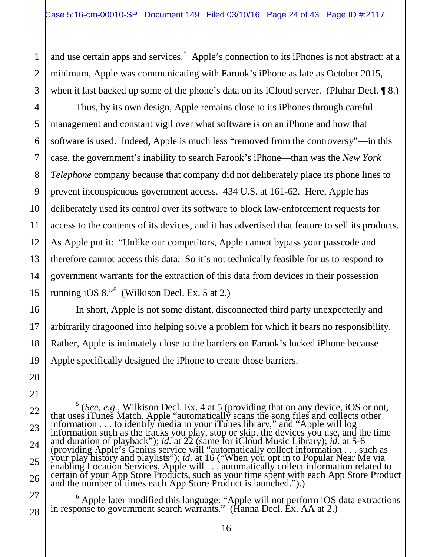and use certain apps and services.<sup>5</sup> Apple's connection to its iPhones is not abstract: at a minimum, Apple was communicating with Farook's iPhone as late as October 2015, when it last backed up some of the phone's data on its iCloud server. (Pluhar Decl. 18.)

Thus, by its own design, Apple remains close to its iPhones through careful management and constant vigil over what software is on an iPhone and how that software is used. Indeed, Apple is much less "removed from the controversy"—in this case, the government's inability to search Farook's iPhone—than was the *New York Telephone* company because that company did not deliberately place its phone lines to prevent inconspicuous government access. 434 U.S. at 161-62. Here, Apple has deliberately used its control over its software to block law-enforcement requests for access to the contents of its devices, and it has advertised that feature to sell its products. As Apple put it: "Unlike our competitors, Apple cannot bypass your passcode and therefore cannot access this data. So it's not technically feasible for us to respond to government warrants for the extraction of this data from devices in their possession running iOS 8."<sup>6</sup> (Wilkison Decl. Ex. 5 at 2.)

In short, Apple is not some distant, disconnected third party unexpectedly and arbitrarily dragooned into helping solve a problem for which it bears no responsibility. Rather, Apple is intimately close to the barriers on Farook's locked iPhone because Apple specifically designed the iPhone to create those barriers.

25

26

27

28

1

2

3

4

5

6

7

8

9

10

11

12

13

14

15

16

17

<sup>6</sup> Apple later modified this language: "Apple will not perform iOS data extractions in response to government search warrants." (Hanna Decl. Ex. AA at 2.)

<sup>&</sup>lt;sup>5</sup> (*See, e.g.*, Wilkison Decl. Ex. 4 at 5 (providing that on any device, iOS or not, that uses iTunes Match, Apple "automatically scans the song files and collects other information . . . to identify media in your iTune information . . . to identify media in your iTunes library," and "Apple will log<br>information such as the tracks you play, stop or skip, the devices you use, and the time<br>and duration of playback"); *id.* at 22 (same for iC (providing Apple's Genius service will "automatically collect information . . . such as your play history and playlists"); *id.* at 16 ("When you opt in to Popular Near Me via<br>enabling Location Services, Apple will . . . automatically collect information related to<br>certain of your App Store Products, such as and the number of times each App Store Product is launched.").)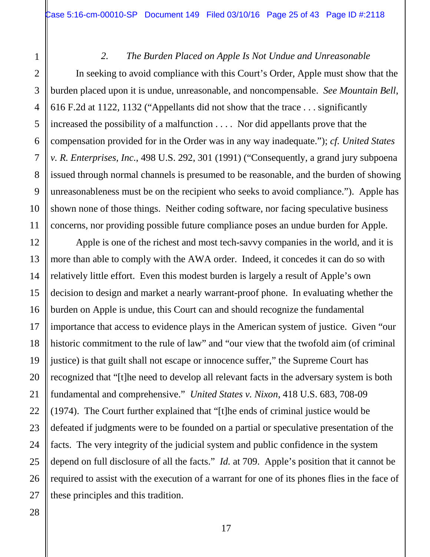#### *2. The Burden Placed on Apple Is Not Undue and Unreasonable*

In seeking to avoid compliance with this Court's Order, Apple must show that the burden placed upon it is undue, unreasonable, and noncompensable. *See Mountain Bell*, 616 F.2d at 1122, 1132 ("Appellants did not show that the trace . . . significantly increased the possibility of a malfunction . . . . Nor did appellants prove that the compensation provided for in the Order was in any way inadequate."); *cf. United States v. R. Enterprises, Inc.*, 498 U.S. 292, 301 (1991) ("Consequently, a grand jury subpoena issued through normal channels is presumed to be reasonable, and the burden of showing unreasonableness must be on the recipient who seeks to avoid compliance."). Apple has shown none of those things. Neither coding software, nor facing speculative business concerns, nor providing possible future compliance poses an undue burden for Apple.

Apple is one of the richest and most tech-savvy companies in the world, and it is more than able to comply with the AWA order. Indeed, it concedes it can do so with relatively little effort. Even this modest burden is largely a result of Apple's own decision to design and market a nearly warrant-proof phone. In evaluating whether the burden on Apple is undue, this Court can and should recognize the fundamental importance that access to evidence plays in the American system of justice. Given "our historic commitment to the rule of law" and "our view that the twofold aim (of criminal justice) is that guilt shall not escape or innocence suffer," the Supreme Court has recognized that "[t]he need to develop all relevant facts in the adversary system is both fundamental and comprehensive." *United States v. Nixon*, 418 U.S. 683, 708-09 (1974). The Court further explained that "[t]he ends of criminal justice would be defeated if judgments were to be founded on a partial or speculative presentation of the facts. The very integrity of the judicial system and public confidence in the system depend on full disclosure of all the facts." *Id.* at 709. Apple's position that it cannot be required to assist with the execution of a warrant for one of its phones flies in the face of these principles and this tradition.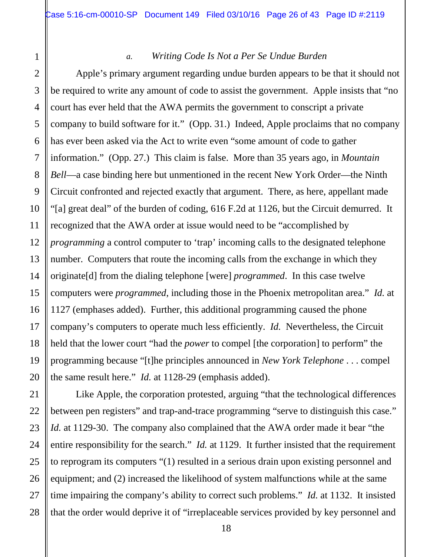5

6

7

8

9

10

11

12

13

14

15

16

17

18

19

20

21

22

23

25

26

27

#### *a. Writing Code Is Not a Per Se Undue Burden*

Apple's primary argument regarding undue burden appears to be that it should not be required to write any amount of code to assist the government. Apple insists that "no court has ever held that the AWA permits the government to conscript a private company to build software for it." (Opp. 31.) Indeed, Apple proclaims that no company has ever been asked via the Act to write even "some amount of code to gather information." (Opp. 27.) This claim is false. More than 35 years ago, in *Mountain Bell*—a case binding here but unmentioned in the recent New York Order—the Ninth Circuit confronted and rejected exactly that argument. There, as here, appellant made "[a] great deal" of the burden of coding, 616 F.2d at 1126, but the Circuit demurred. It recognized that the AWA order at issue would need to be "accomplished by *programming* a control computer to 'trap' incoming calls to the designated telephone number. Computers that route the incoming calls from the exchange in which they originate[d] from the dialing telephone [were] *programmed*. In this case twelve computers were *programmed*, including those in the Phoenix metropolitan area." *Id.* at 1127 (emphases added). Further, this additional programming caused the phone company's computers to operate much less efficiently. *Id.* Nevertheless, the Circuit held that the lower court "had the *power* to compel [the corporation] to perform" the programming because "[t]he principles announced in *New York Telephone* . . . compel the same result here." *Id.* at 1128-29 (emphasis added).

24 28 Like Apple, the corporation protested, arguing "that the technological differences between pen registers" and trap-and-trace programming "serve to distinguish this case." *Id.* at 1129-30. The company also complained that the AWA order made it bear "the entire responsibility for the search." *Id.* at 1129. It further insisted that the requirement to reprogram its computers "(1) resulted in a serious drain upon existing personnel and equipment; and (2) increased the likelihood of system malfunctions while at the same time impairing the company's ability to correct such problems." *Id.* at 1132. It insisted that the order would deprive it of "irreplaceable services provided by key personnel and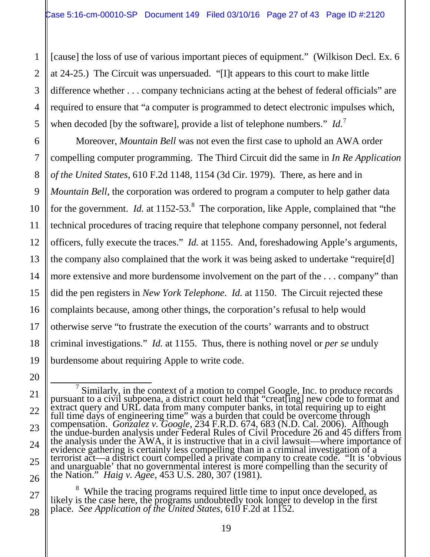[cause] the loss of use of various important pieces of equipment." (Wilkison Decl. Ex. 6 at 24-25.) The Circuit was unpersuaded. "[I]t appears to this court to make little difference whether . . . company technicians acting at the behest of federal officials" are required to ensure that "a computer is programmed to detect electronic impulses which, when decoded [by the software], provide a list of telephone numbers." *Id.*<sup>7</sup>

Moreover, *Mountain Bell* was not even the first case to uphold an AWA order compelling computer programming. The Third Circuit did the same in *In Re Application of the United States*, 610 F.2d 1148, 1154 (3d Cir. 1979). There, as here and in *Mountain Bell*, the corporation was ordered to program a computer to help gather data for the government. *Id.* at 1152-53.<sup>8</sup> The corporation, like Apple, complained that "the technical procedures of tracing require that telephone company personnel, not federal officers, fully execute the traces." *Id.* at 1155. And, foreshadowing Apple's arguments, the company also complained that the work it was being asked to undertake "require[d] more extensive and more burdensome involvement on the part of the . . . company" than did the pen registers in *New York Telephone*. *Id.* at 1150. The Circuit rejected these complaints because, among other things, the corporation's refusal to help would otherwise serve "to frustrate the execution of the courts' warrants and to obstruct criminal investigations." *Id.* at 1155. Thus, there is nothing novel or *per se* unduly burdensome about requiring Apple to write code.

<sup>1</sup> 2 3 4 5 6 7 8 9 10 11 12 13 14 15 16 17 18 19 20 21 22 23 24 25 26 27 28

 $\frac{7}{1}$  Similarly, in the context of a motion to compel Google, Inc. to produce records pursuant to a civil subpoena, a district court held that "creat[ing] new code to format and extract query and URL data from many computer banks, in total requiring up to eight full time days of engineering time" was a burden that could be overcome through<br>compensation. *Gonzalez v. Google*, 234 F.R.D. 674, 683 (N.D. Cal. 2006). Although<br>the undue-burden analysis under Federal Rules of Civil Proc evidence gathering is certainly less compelling than in a criminal investigation of a terrorist act—a district court compelled a private company to create code. "It is 'obvious and unarguable' that no governmental interest is more compelling than the security of the Nation." *Haig v. Agee*, 453 U.S. 280, 307 (1981).

<sup>&</sup>lt;sup>8</sup> While the tracing programs required little time to input once developed, as likely is the case here, the programs undoubtedly took longer to develop in the first place. *See Application of the United States*, 610 F.2d at 1152.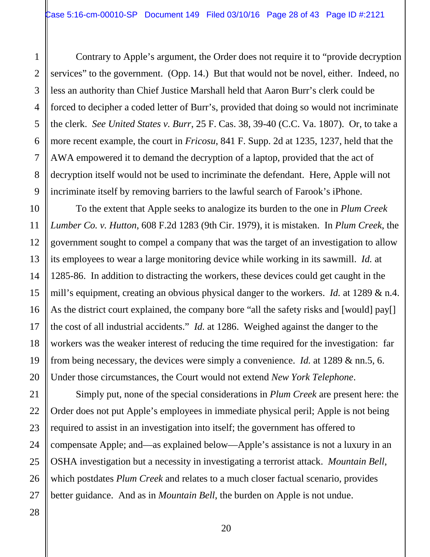Contrary to Apple's argument, the Order does not require it to "provide decryption services" to the government. (Opp. 14.) But that would not be novel, either. Indeed, no less an authority than Chief Justice Marshall held that Aaron Burr's clerk could be forced to decipher a coded letter of Burr's, provided that doing so would not incriminate the clerk. *See United States v. Burr*, 25 F. Cas. 38, 39-40 (C.C. Va. 1807). Or, to take a more recent example, the court in *Fricosu*, 841 F. Supp. 2d at 1235, 1237, held that the AWA empowered it to demand the decryption of a laptop, provided that the act of decryption itself would not be used to incriminate the defendant. Here, Apple will not incriminate itself by removing barriers to the lawful search of Farook's iPhone.

To the extent that Apple seeks to analogize its burden to the one in *Plum Creek Lumber Co. v. Hutton*, 608 F.2d 1283 (9th Cir. 1979), it is mistaken. In *Plum Creek*, the government sought to compel a company that was the target of an investigation to allow its employees to wear a large monitoring device while working in its sawmill. *Id.* at 1285-86. In addition to distracting the workers, these devices could get caught in the mill's equipment, creating an obvious physical danger to the workers. *Id.* at 1289 & n.4. As the district court explained, the company bore "all the safety risks and [would] pay[] the cost of all industrial accidents." *Id.* at 1286. Weighed against the danger to the workers was the weaker interest of reducing the time required for the investigation: far from being necessary, the devices were simply a convenience. *Id.* at 1289 & nn.5, 6. Under those circumstances, the Court would not extend *New York Telephone*.

Simply put, none of the special considerations in *Plum Creek* are present here: the Order does not put Apple's employees in immediate physical peril; Apple is not being required to assist in an investigation into itself; the government has offered to compensate Apple; and—as explained below—Apple's assistance is not a luxury in an OSHA investigation but a necessity in investigating a terrorist attack. *Mountain Bell*, which postdates *Plum Creek* and relates to a much closer factual scenario, provides better guidance. And as in *Mountain Bell*, the burden on Apple is not undue.

1

2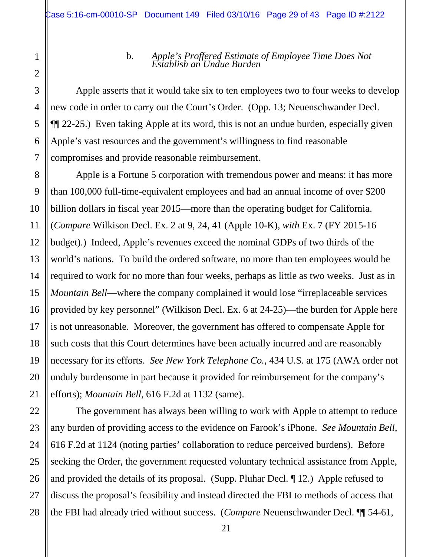28

# b. *Apple's Proffered Estimate of Employee Time Does Not Establish an Undue Burden*

Apple asserts that it would take six to ten employees two to four weeks to develop new code in order to carry out the Court's Order. (Opp. 13; Neuenschwander Decl. ¶¶ 22-25.) Even taking Apple at its word, this is not an undue burden, especially given Apple's vast resources and the government's willingness to find reasonable compromises and provide reasonable reimbursement.

Apple is a Fortune 5 corporation with tremendous power and means: it has more than 100,000 full-time-equivalent employees and had an annual income of over \$200 billion dollars in fiscal year 2015—more than the operating budget for California. (*Compare* Wilkison Decl. Ex. 2 at 9, 24, 41 (Apple 10-K), *with* Ex. 7 (FY 2015-16 budget).) Indeed, Apple's revenues exceed the nominal GDPs of two thirds of the world's nations. To build the ordered software, no more than ten employees would be required to work for no more than four weeks, perhaps as little as two weeks. Just as in *Mountain Bell—where the company complained it would lose "irreplaceable services* provided by key personnel" (Wilkison Decl. Ex. 6 at 24-25)—the burden for Apple here is not unreasonable. Moreover, the government has offered to compensate Apple for such costs that this Court determines have been actually incurred and are reasonably necessary for its efforts. *See New York Telephone Co.*, 434 U.S. at 175 (AWA order not unduly burdensome in part because it provided for reimbursement for the company's efforts); *Mountain Bell*, 616 F.2d at 1132 (same).

The government has always been willing to work with Apple to attempt to reduce any burden of providing access to the evidence on Farook's iPhone. *See Mountain Bell*, 616 F.2d at 1124 (noting parties' collaboration to reduce perceived burdens). Before seeking the Order, the government requested voluntary technical assistance from Apple, and provided the details of its proposal. (Supp. Pluhar Decl. ¶ 12.) Apple refused to discuss the proposal's feasibility and instead directed the FBI to methods of access that the FBI had already tried without success. (*Compare* Neuenschwander Decl. ¶¶ 54-61,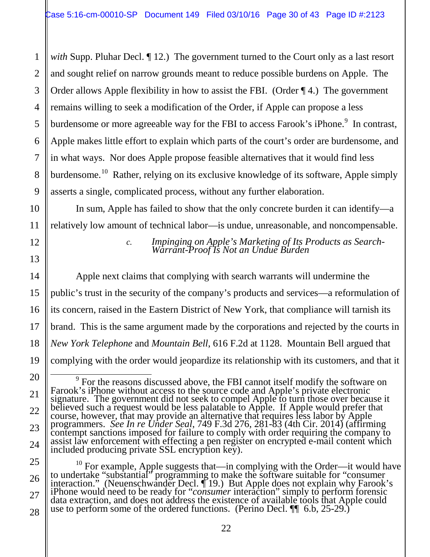*with* Supp. Pluhar Decl. *[12.]* The government turned to the Court only as a last resort and sought relief on narrow grounds meant to reduce possible burdens on Apple. The Order allows Apple flexibility in how to assist the FBI. (Order ¶ 4.) The government remains willing to seek a modification of the Order, if Apple can propose a less burdensome or more agreeable way for the FBI to access Farook's iPhone.<sup>9</sup> In contrast, Apple makes little effort to explain which parts of the court's order are burdensome, and in what ways. Nor does Apple propose feasible alternatives that it would find less burdensome.<sup>10</sup> Rather, relying on its exclusive knowledge of its software, Apple simply asserts a single, complicated process, without any further elaboration.

In sum, Apple has failed to show that the only concrete burden it can identify—a relatively low amount of technical labor—is undue, unreasonable, and noncompensable.

*c. Impinging on Apple's Marketing of Its Products as Search- Warrant-Proof Is Not an Undue Burden*

Apple next claims that complying with search warrants will undermine the public's trust in the security of the company's products and services—a reformulation of its concern, raised in the Eastern District of New York, that compliance will tarnish its brand. This is the same argument made by the corporations and rejected by the courts in *New York Telephone* and *Mountain Bell*, 616 F.2d at 1128. Mountain Bell argued that complying with the order would jeopardize its relationship with its customers, and that it

1

<sup>&</sup>lt;sup>9</sup> For the reasons discussed above, the FBI cannot itself modify the software on Farook's iPhone without access to the source code and Apple's private electronic signature. The government did not seek to compel Apple to turn those over because it believed such a request would be less palatable to Apple. If Apple would prefer that course, however, that may provide an alternative that requires less labor by Apple programmers. *See In re Under Seal*, 749 F.3d 276, 281-83 (4th Cir. 2014) (affirming contempt sanctions imposed for failure to comply with order requiring the company to assist law enforcement with effecting a pen register on encrypted e-mail content which included producing private SSL encryption key).

 $10$  For example, Apple suggests that—in complying with the Order—it would have to undertake "substantial" programming to make the software suitable for "consumer interaction." (Neuenschwander Decl. ¶ 19.) But Apple does not explain why Farook's iPhone would need to be ready for "*consumer* interaction" simply to perform forensic data extraction, and does not address the existence of available tools that Apple could use to perform some of the ordered functions. (Perino Decl. ¶ 6.b, 25-29.)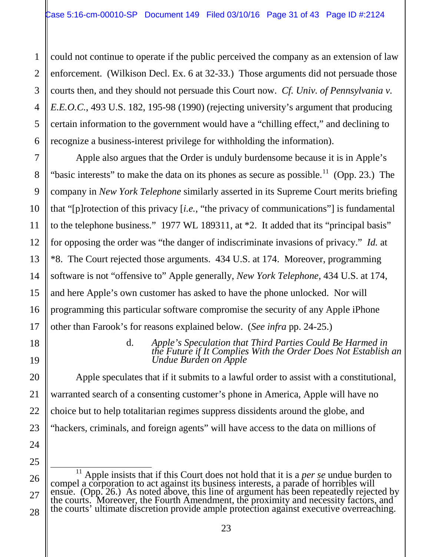could not continue to operate if the public perceived the company as an extension of law enforcement. (Wilkison Decl. Ex. 6 at 32-33.) Those arguments did not persuade those courts then, and they should not persuade this Court now. *Cf. Univ. of Pennsylvania v. E.E.O.C.*, 493 U.S. 182, 195-98 (1990) (rejecting university's argument that producing certain information to the government would have a "chilling effect," and declining to recognize a business-interest privilege for withholding the information).

Apple also argues that the Order is unduly burdensome because it is in Apple's "basic interests" to make the data on its phones as secure as possible.<sup>11</sup> (Opp. 23.) The company in *New York Telephone* similarly asserted in its Supreme Court merits briefing that "[p]rotection of this privacy [*i.e.*, "the privacy of communications"] is fundamental to the telephone business." 1977 WL 189311, at \*2. It added that its "principal basis" for opposing the order was "the danger of indiscriminate invasions of privacy." *Id.* at \*8. The Court rejected those arguments. 434 U.S. at 174. Moreover, programming software is not "offensive to" Apple generally, *New York Telephone*, 434 U.S. at 174, and here Apple's own customer has asked to have the phone unlocked. Nor will programming this particular software compromise the security of any Apple iPhone other than Farook's for reasons explained below. (*See infra* pp. 24-25.)

#### d. *Apple's Speculation that Third Parties Could Be Harmed in the Future if It Complies With the Order Does Not Establish an Undue Burden on Apple*

Apple speculates that if it submits to a lawful order to assist with a constitutional, warranted search of a consenting customer's phone in America, Apple will have no choice but to help totalitarian regimes suppress dissidents around the globe, and "hackers, criminals, and foreign agents" will have access to the data on millions of

 11 Apple insists that if this Court does not hold that it is a *per se* undue burden to compel a corporation to act against its business interests, a parade of horribles will ensue. (Opp. 26.) As noted above, this line of argument has been repeatedly rejected by the courts. Moreover, the Fourth Amendment, the proximity and necessity factors, and the courts' ultimate discretion provide ample protection against executive overreaching.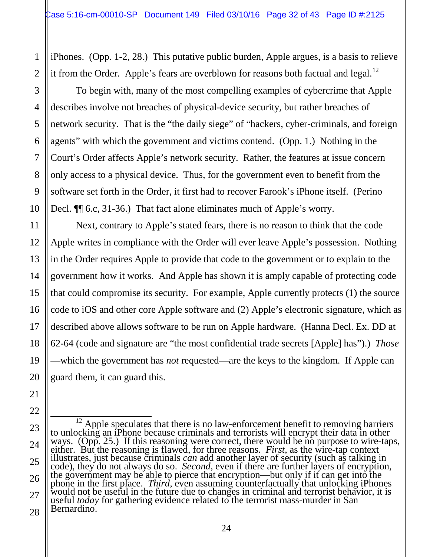iPhones. (Opp. 1-2, 28.) This putative public burden, Apple argues, is a basis to relieve it from the Order. Apple's fears are overblown for reasons both factual and legal.<sup>12</sup>

To begin with, many of the most compelling examples of cybercrime that Apple describes involve not breaches of physical-device security, but rather breaches of network security. That is the "the daily siege" of "hackers, cyber-criminals, and foreign agents" with which the government and victims contend. (Opp. 1.) Nothing in the Court's Order affects Apple's network security. Rather, the features at issue concern only access to a physical device. Thus, for the government even to benefit from the software set forth in the Order, it first had to recover Farook's iPhone itself. (Perino Decl. ¶¶ 6.c, 31-36.) That fact alone eliminates much of Apple's worry.

Next, contrary to Apple's stated fears, there is no reason to think that the code Apple writes in compliance with the Order will ever leave Apple's possession. Nothing in the Order requires Apple to provide that code to the government or to explain to the government how it works. And Apple has shown it is amply capable of protecting code that could compromise its security. For example, Apple currently protects (1) the source code to iOS and other core Apple software and (2) Apple's electronic signature, which as described above allows software to be run on Apple hardware. (Hanna Decl. Ex. DD at 62-64 (code and signature are "the most confidential trade secrets [Apple] has").) *Those* —which the government has *not* requested—are the keys to the kingdom. If Apple can guard them, it can guard this.

<sup>12</sup> Apple speculates that there is no law-enforcement benefit to removing barriers<br>to unlocking an iPhone because criminals and terrorists will encrypt their data in other<br>ways. (Opp. 25.) If this reasoning were correct, useful *today* for gathering evidence related to the terrorist mass-murder in San Bernardino.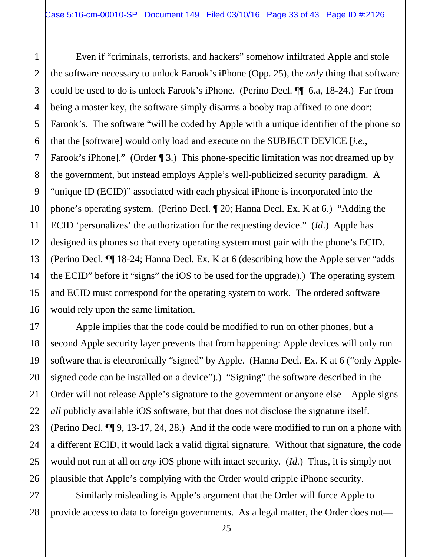Even if "criminals, terrorists, and hackers" somehow infiltrated Apple and stole the software necessary to unlock Farook's iPhone (Opp. 25), the *only* thing that software could be used to do is unlock Farook's iPhone. (Perino Decl. ¶¶ 6.a, 18-24.) Far from being a master key, the software simply disarms a booby trap affixed to one door: Farook's. The software "will be coded by Apple with a unique identifier of the phone so that the [software] would only load and execute on the SUBJECT DEVICE [*i.e.*, Farook's iPhone]." (Order ¶ 3.) This phone-specific limitation was not dreamed up by the government, but instead employs Apple's well-publicized security paradigm. A "unique ID (ECID)" associated with each physical iPhone is incorporated into the phone's operating system. (Perino Decl. ¶ 20; Hanna Decl. Ex. K at 6.) "Adding the ECID 'personalizes' the authorization for the requesting device." (*Id*.) Apple has designed its phones so that every operating system must pair with the phone's ECID. (Perino Decl. ¶¶ 18-24; Hanna Decl. Ex. K at 6 (describing how the Apple server "adds the ECID" before it "signs" the iOS to be used for the upgrade).) The operating system and ECID must correspond for the operating system to work. The ordered software would rely upon the same limitation.

Apple implies that the code could be modified to run on other phones, but a second Apple security layer prevents that from happening: Apple devices will only run software that is electronically "signed" by Apple. (Hanna Decl. Ex. K at 6 ("only Applesigned code can be installed on a device").) "Signing" the software described in the Order will not release Apple's signature to the government or anyone else—Apple signs *all* publicly available iOS software, but that does not disclose the signature itself. (Perino Decl. ¶¶ 9, 13-17, 24, 28.) And if the code were modified to run on a phone with a different ECID, it would lack a valid digital signature. Without that signature, the code would not run at all on *any* iOS phone with intact security. (*Id.*) Thus, it is simply not plausible that Apple's complying with the Order would cripple iPhone security.

Similarly misleading is Apple's argument that the Order will force Apple to provide access to data to foreign governments. As a legal matter, the Order does not—

1

2

3

4

5

6

7

8

9

10

11

12

13

14

15

16

17

18

19

20

21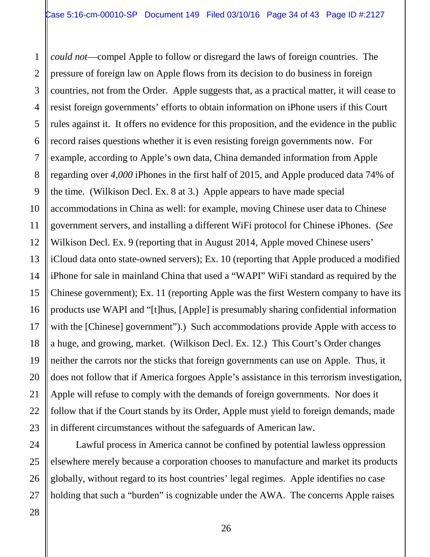*could not*—compel Apple to follow or disregard the laws of foreign countries. The pressure of foreign law on Apple flows from its decision to do business in foreign countries, not from the Order. Apple suggests that, as a practical matter, it will cease to resist foreign governments' efforts to obtain information on iPhone users if this Court rules against it. It offers no evidence for this proposition, and the evidence in the public record raises questions whether it is even resisting foreign governments now. For example, according to Apple's own data, China demanded information from Apple regarding over *4,000* iPhones in the first half of 2015, and Apple produced data 74% of the time. (Wilkison Decl. Ex. 8 at 3.) Apple appears to have made special accommodations in China as well: for example, moving Chinese user data to Chinese government servers, and installing a different WiFi protocol for Chinese iPhones. (*See* Wilkison Decl. Ex. 9 (reporting that in August 2014, Apple moved Chinese users' iCloud data onto state-owned servers); Ex. 10 (reporting that Apple produced a modified iPhone for sale in mainland China that used a "WAPI" WiFi standard as required by the Chinese government); Ex. 11 (reporting Apple was the first Western company to have its products use WAPI and "[t]hus, [Apple] is presumably sharing confidential information with the [Chinese] government").) Such accommodations provide Apple with access to a huge, and growing, market. (Wilkison Decl. Ex. 12.) This Court's Order changes neither the carrots nor the sticks that foreign governments can use on Apple. Thus, it does not follow that if America forgoes Apple's assistance in this terrorism investigation, Apple will refuse to comply with the demands of foreign governments. Nor does it follow that if the Court stands by its Order, Apple must yield to foreign demands, made in different circumstances without the safeguards of American law.

Lawful process in America cannot be confined by potential lawless oppression elsewhere merely because a corporation chooses to manufacture and market its products globally, without regard to its host countries' legal regimes. Apple identifies no case holding that such a "burden" is cognizable under the AWA. The concerns Apple raises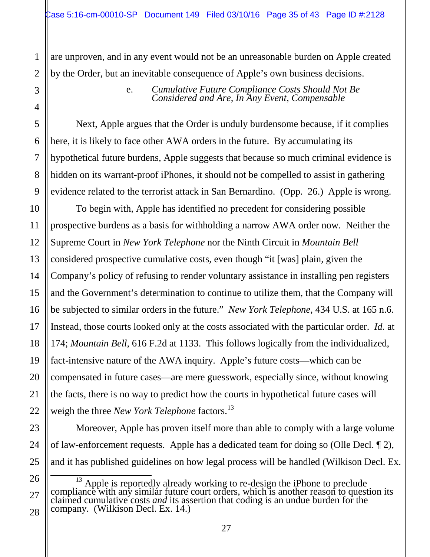are unproven, and in any event would not be an unreasonable burden on Apple created by the Order, but an inevitable consequence of Apple's own business decisions.

e. *Cumulative Future Compliance Costs Should Not Be Considered and Are, In Any Event, Compensable*

Next, Apple argues that the Order is unduly burdensome because, if it complies here, it is likely to face other AWA orders in the future. By accumulating its hypothetical future burdens, Apple suggests that because so much criminal evidence is hidden on its warrant-proof iPhones, it should not be compelled to assist in gathering evidence related to the terrorist attack in San Bernardino. (Opp. 26.) Apple is wrong.

To begin with, Apple has identified no precedent for considering possible prospective burdens as a basis for withholding a narrow AWA order now. Neither the Supreme Court in *New York Telephone* nor the Ninth Circuit in *Mountain Bell* considered prospective cumulative costs, even though "it [was] plain, given the Company's policy of refusing to render voluntary assistance in installing pen registers and the Government's determination to continue to utilize them, that the Company will be subjected to similar orders in the future." *New York Telephone*, 434 U.S. at 165 n.6. Instead, those courts looked only at the costs associated with the particular order. *Id.* at 174; *Mountain Bell*, 616 F.2d at 1133. This follows logically from the individualized, fact-intensive nature of the AWA inquiry. Apple's future costs—which can be compensated in future cases—are mere guesswork, especially since, without knowing the facts, there is no way to predict how the courts in hypothetical future cases will weigh the three *New York Telephone* factors.<sup>13</sup>

Moreover, Apple has proven itself more than able to comply with a large volume of law-enforcement requests. Apple has a dedicated team for doing so (Olle Decl. ¶ 2), and it has published guidelines on how legal process will be handled (Wilkison Decl. Ex.

 $\frac{13}{13}$  Apple is reportedly already working to re-design the iPhone to preclude compliance with any similar future court orders, which is another reason to question its claimed cumulative costs *and* its assertion that coding is an undue burden for the company. (Wilkison Decl. Ex. 14.)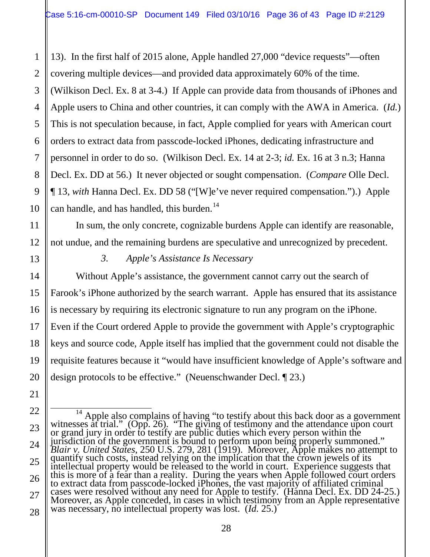13). In the first half of 2015 alone, Apple handled 27,000 "device requests"—often covering multiple devices—and provided data approximately 60% of the time. (Wilkison Decl. Ex. 8 at 3-4.) If Apple can provide data from thousands of iPhones and Apple users to China and other countries, it can comply with the AWA in America. (*Id.*) This is not speculation because, in fact, Apple complied for years with American court orders to extract data from passcode-locked iPhones, dedicating infrastructure and personnel in order to do so. (Wilkison Decl. Ex. 14 at 2-3; *id.* Ex. 16 at 3 n.3; Hanna Decl. Ex. DD at 56.) It never objected or sought compensation. (*Compare* Olle Decl. ¶ 13, *with* Hanna Decl. Ex. DD 58 ("[W]e've never required compensation.").) Apple can handle, and has handled, this burden.<sup>14</sup>

In sum, the only concrete, cognizable burdens Apple can identify are reasonable, not undue, and the remaining burdens are speculative and unrecognized by precedent.

1

2

3

4

5

6

7

8

9

10

11

12

13

14

15

16

17

18

19

20

21

*3. Apple's Assistance Is Necessary*

Without Apple's assistance, the government cannot carry out the search of Farook's iPhone authorized by the search warrant. Apple has ensured that its assistance is necessary by requiring its electronic signature to run any program on the iPhone. Even if the Court ordered Apple to provide the government with Apple's cryptographic keys and source code, Apple itself has implied that the government could not disable the requisite features because it "would have insufficient knowledge of Apple's software and design protocols to be effective." (Neuenschwander Decl. ¶ 23.)

22 23 24 25 26 27 28 <sup>14</sup> Apple also complains of having "to testify about this back door as a government witnesses at trial." (Opp. 26). "The giving of testimony and the attendance upon court or grand jury in order to testify are public duti jurisdiction of the government is bound to perform upon being properly summoned." *Blair v. United States*, 250 U.S. 279, 281 (1919). Moreover, Apple makes no attempt to quantify such costs, instead relying on the implication that the crown jewels of its intellectual property would be released to the world in court. Experience suggests that this is more of a fear than a reality. During the years when Apple followed court orders to extract data from passcode-locked iPhones, the vast majority of affiliated criminal cases were resolved without any need for Apple to testify. (Hanna Decl. Ex. DD 24-25.) Moreover, as Apple conceded, in cases in which testimony from an Apple representative was necessary, no intellectual property was lost. (*Id.* 25.)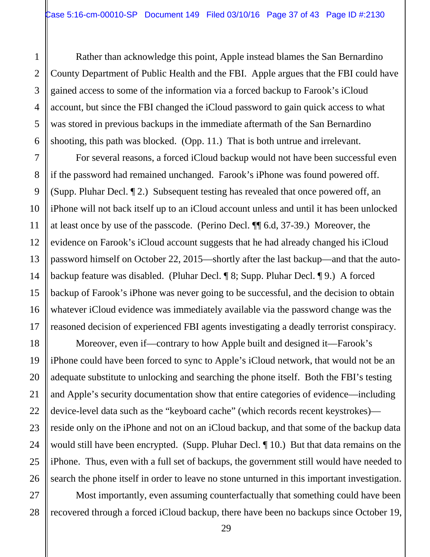Rather than acknowledge this point, Apple instead blames the San Bernardino County Department of Public Health and the FBI. Apple argues that the FBI could have gained access to some of the information via a forced backup to Farook's iCloud account, but since the FBI changed the iCloud password to gain quick access to what was stored in previous backups in the immediate aftermath of the San Bernardino shooting, this path was blocked. (Opp. 11.) That is both untrue and irrelevant.

For several reasons, a forced iCloud backup would not have been successful even if the password had remained unchanged. Farook's iPhone was found powered off. (Supp. Pluhar Decl. ¶ 2.) Subsequent testing has revealed that once powered off, an iPhone will not back itself up to an iCloud account unless and until it has been unlocked at least once by use of the passcode. (Perino Decl. ¶¶ 6.d, 37-39.) Moreover, the evidence on Farook's iCloud account suggests that he had already changed his iCloud password himself on October 22, 2015—shortly after the last backup—and that the autobackup feature was disabled. (Pluhar Decl. ¶ 8; Supp. Pluhar Decl. ¶ 9.) A forced backup of Farook's iPhone was never going to be successful, and the decision to obtain whatever iCloud evidence was immediately available via the password change was the reasoned decision of experienced FBI agents investigating a deadly terrorist conspiracy.

Moreover, even if—contrary to how Apple built and designed it—Farook's iPhone could have been forced to sync to Apple's iCloud network, that would not be an adequate substitute to unlocking and searching the phone itself. Both the FBI's testing and Apple's security documentation show that entire categories of evidence—including device-level data such as the "keyboard cache" (which records recent keystrokes) reside only on the iPhone and not on an iCloud backup, and that some of the backup data would still have been encrypted. (Supp. Pluhar Decl. ¶ 10.) But that data remains on the iPhone. Thus, even with a full set of backups, the government still would have needed to search the phone itself in order to leave no stone unturned in this important investigation.

Most importantly, even assuming counterfactually that something could have been recovered through a forced iCloud backup, there have been no backups since October 19,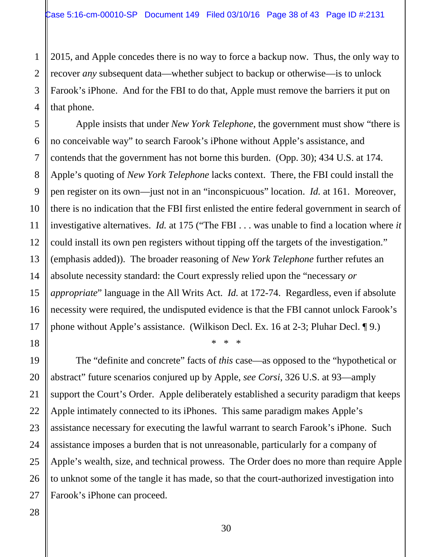2015, and Apple concedes there is no way to force a backup now. Thus, the only way to recover *any* subsequent data—whether subject to backup or otherwise—is to unlock Farook's iPhone. And for the FBI to do that, Apple must remove the barriers it put on that phone.

Apple insists that under *New York Telephone*, the government must show "there is no conceivable way" to search Farook's iPhone without Apple's assistance, and contends that the government has not borne this burden. (Opp. 30); 434 U.S. at 174. Apple's quoting of *New York Telephone* lacks context. There, the FBI could install the pen register on its own—just not in an "inconspicuous" location. *Id.* at 161. Moreover, there is no indication that the FBI first enlisted the entire federal government in search of investigative alternatives. *Id.* at 175 ("The FBI . . . was unable to find a location where *it* could install its own pen registers without tipping off the targets of the investigation." (emphasis added)). The broader reasoning of *New York Telephone* further refutes an absolute necessity standard: the Court expressly relied upon the "necessary *or appropriate*" language in the All Writs Act. *Id.* at 172-74. Regardless, even if absolute necessity were required, the undisputed evidence is that the FBI cannot unlock Farook's phone without Apple's assistance. (Wilkison Decl. Ex. 16 at 2-3; Pluhar Decl. ¶ 9.)

The "definite and concrete" facts of *this* case—as opposed to the "hypothetical or abstract" future scenarios conjured up by Apple, *see Corsi*, 326 U.S. at 93—amply support the Court's Order. Apple deliberately established a security paradigm that keeps Apple intimately connected to its iPhones. This same paradigm makes Apple's assistance necessary for executing the lawful warrant to search Farook's iPhone. Such assistance imposes a burden that is not unreasonable, particularly for a company of Apple's wealth, size, and technical prowess. The Order does no more than require Apple to unknot some of the tangle it has made, so that the court-authorized investigation into Farook's iPhone can proceed.

\* \* \*

1

2

3

4

5

6

7

8

9

10

11

12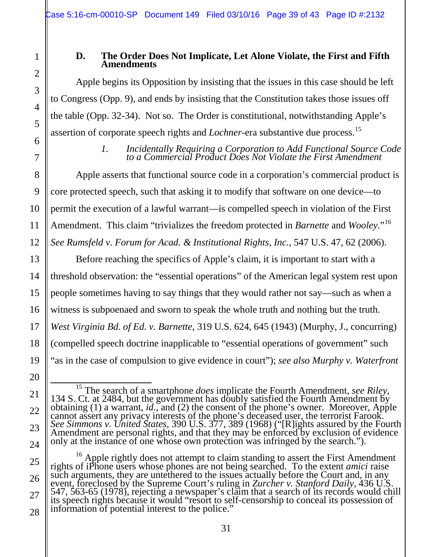#### **D. The Order Does Not Implicate, Let Alone Violate, the First and Fifth Amendments**

Apple begins its Opposition by insisting that the issues in this case should be left to Congress (Opp. 9), and ends by insisting that the Constitution takes those issues off the table (Opp. 32-34). Not so. The Order is constitutional, notwithstanding Apple's assertion of corporate speech rights and *Lochner*-era substantive due process. 15

> *1. Incidentally Requiring a Corporation to Add Functional Source Code to a Commercial Product Does Not Violate the First Amendment*

Apple asserts that functional source code in a corporation's commercial product is core protected speech, such that asking it to modify that software on one device—to permit the execution of a lawful warrant—is compelled speech in violation of the First Amendment. This claim "trivializes the freedom protected in *Barnette* and *Wooley.*"16 *See Rumsfeld v. Forum for Acad. & Institutional Rights, Inc.*, 547 U.S. 47, 62 (2006).

Before reaching the specifics of Apple's claim, it is important to start with a threshold observation: the "essential operations" of the American legal system rest upon people sometimes having to say things that they would rather not say—such as when a witness is subpoenaed and sworn to speak the whole truth and nothing but the truth. *West Virginia Bd. of Ed. v. Barnette*, 319 U.S. 624, 645 (1943) (Murphy, J., concurring) (compelled speech doctrine inapplicable to "essential operations of government" such "as in the case of compulsion to give evidence in court"); *see also Murphy v. Waterfront* 

<sup>&</sup>lt;sup>15</sup> The search of a smartphone *does* implicate the Fourth Amendment, *see Riley*, 134 S. Ct. at 2484, but the government has doubly satisfied the Fourth Amendment by obtaining (1) a warrant, *id.*, and (2) the consent of the phone's owner. Moreover, Apple cannot assert any privacy interests of the phone's deceased user, the terrorist Farook.<br>See Simmons v. United States, 390 U.S. 377, 389 (1968) ("[R]ights assured by the Fourth<br>Amendment are personal rights, and that they m only at the instance of one whose own protection was infringed by the search.").

<sup>&</sup>lt;sup>16</sup> Apple rightly does not attempt to claim standing to assert the First Amendment rights of iPhone users whose phones are not being searched. To the extent *amici* raise such arguments, they are untethered to the issues actually before the Court and, in any event, foreclosed by the Supreme Court's ruling in *Zurcher v. Stanford Daily*, 436 U.S. 547, 563-65 (1978), rejecting a newspaper's c its speech rights because it would "resort to self-censorship to conceal its possession of information of potential interest to the police."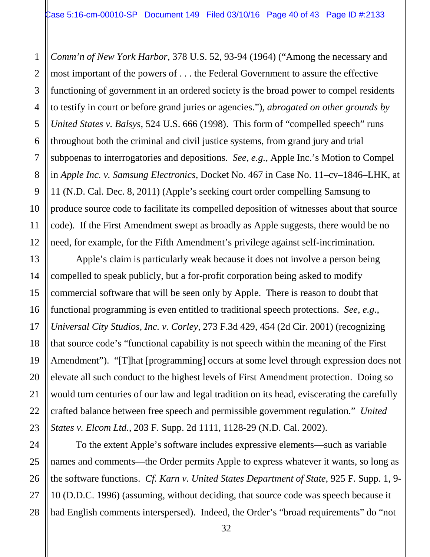*Comm'n of New York Harbor*, 378 U.S. 52, 93-94 (1964) ("Among the necessary and most important of the powers of . . . the Federal Government to assure the effective functioning of government in an ordered society is the broad power to compel residents to testify in court or before grand juries or agencies."), *abrogated on other grounds by United States v. Balsys*, 524 U.S. 666 (1998). This form of "compelled speech" runs throughout both the criminal and civil justice systems, from grand jury and trial subpoenas to interrogatories and depositions. *See, e.g.*, Apple Inc.'s Motion to Compel in *Apple Inc. v. Samsung Electronics*, Docket No. 467 in Case No. 11–cv–1846–LHK, at 11 (N.D. Cal. Dec. 8, 2011) (Apple's seeking court order compelling Samsung to produce source code to facilitate its compelled deposition of witnesses about that source code). If the First Amendment swept as broadly as Apple suggests, there would be no need, for example, for the Fifth Amendment's privilege against self-incrimination.

Apple's claim is particularly weak because it does not involve a person being compelled to speak publicly, but a for-profit corporation being asked to modify commercial software that will be seen only by Apple. There is reason to doubt that functional programming is even entitled to traditional speech protections. *See, e.g.*, *Universal City Studios, Inc. v. Corley*, 273 F.3d 429, 454 (2d Cir. 2001) (recognizing that source code's "functional capability is not speech within the meaning of the First Amendment"). "[T]hat [programming] occurs at some level through expression does not elevate all such conduct to the highest levels of First Amendment protection. Doing so would turn centuries of our law and legal tradition on its head, eviscerating the carefully crafted balance between free speech and permissible government regulation." *United States v. Elcom Ltd.*, 203 F. Supp. 2d 1111, 1128-29 (N.D. Cal. 2002).

To the extent Apple's software includes expressive elements—such as variable names and comments—the Order permits Apple to express whatever it wants, so long as the software functions. *Cf. Karn v. United States Department of State*, 925 F. Supp. 1, 9- 10 (D.D.C. 1996) (assuming, without deciding, that source code was speech because it had English comments interspersed). Indeed, the Order's "broad requirements" do "not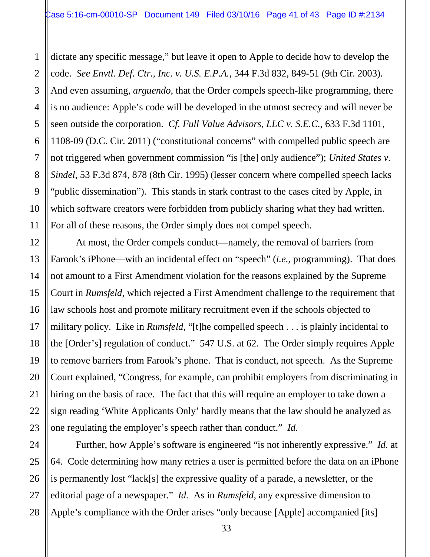dictate any specific message," but leave it open to Apple to decide how to develop the code. *See Envtl. Def. Ctr., Inc. v. U.S. E.P.A.*, 344 F.3d 832, 849-51 (9th Cir. 2003). And even assuming, *arguendo*, that the Order compels speech-like programming, there is no audience: Apple's code will be developed in the utmost secrecy and will never be seen outside the corporation. *Cf. Full Value Advisors, LLC v. S.E.C.*, 633 F.3d 1101, 1108-09 (D.C. Cir. 2011) ("constitutional concerns" with compelled public speech are not triggered when government commission "is [the] only audience"); *United States v. Sindel*, 53 F.3d 874, 878 (8th Cir. 1995) (lesser concern where compelled speech lacks "public dissemination"). This stands in stark contrast to the cases cited by Apple, in which software creators were forbidden from publicly sharing what they had written. For all of these reasons, the Order simply does not compel speech.

At most, the Order compels conduct—namely, the removal of barriers from Farook's iPhone—with an incidental effect on "speech" (*i.e.*, programming). That does not amount to a First Amendment violation for the reasons explained by the Supreme Court in *Rumsfeld*, which rejected a First Amendment challenge to the requirement that law schools host and promote military recruitment even if the schools objected to military policy. Like in *Rumsfeld*, "[t]he compelled speech . . . is plainly incidental to the [Order's] regulation of conduct." 547 U.S. at 62. The Order simply requires Apple to remove barriers from Farook's phone. That is conduct, not speech. As the Supreme Court explained, "Congress, for example, can prohibit employers from discriminating in hiring on the basis of race. The fact that this will require an employer to take down a sign reading 'White Applicants Only' hardly means that the law should be analyzed as one regulating the employer's speech rather than conduct." *Id.*

Further, how Apple's software is engineered "is not inherently expressive." *Id.* at 64. Code determining how many retries a user is permitted before the data on an iPhone is permanently lost "lack[s] the expressive quality of a parade, a newsletter, or the editorial page of a newspaper." *Id.* As in *Rumsfeld*, any expressive dimension to Apple's compliance with the Order arises "only because [Apple] accompanied [its]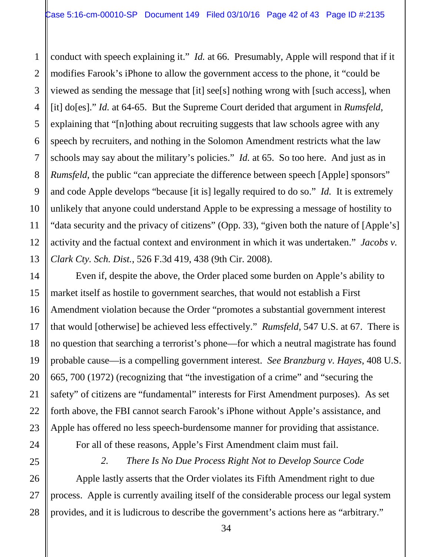conduct with speech explaining it." *Id.* at 66. Presumably, Apple will respond that if it modifies Farook's iPhone to allow the government access to the phone, it "could be viewed as sending the message that [it] see[s] nothing wrong with [such access], when [it] do[es]." *Id.* at 64-65. But the Supreme Court derided that argument in *Rumsfeld*, explaining that "[n]othing about recruiting suggests that law schools agree with any speech by recruiters, and nothing in the Solomon Amendment restricts what the law schools may say about the military's policies." *Id.* at 65. So too here. And just as in *Rumsfeld*, the public "can appreciate the difference between speech [Apple] sponsors" and code Apple develops "because [it is] legally required to do so." *Id.* It is extremely unlikely that anyone could understand Apple to be expressing a message of hostility to "data security and the privacy of citizens" (Opp. 33), "given both the nature of [Apple's] activity and the factual context and environment in which it was undertaken." *Jacobs v. Clark Cty. Sch. Dist.*, 526 F.3d 419, 438 (9th Cir. 2008).

Even if, despite the above, the Order placed some burden on Apple's ability to market itself as hostile to government searches, that would not establish a First Amendment violation because the Order "promotes a substantial government interest that would [otherwise] be achieved less effectively." *Rumsfeld*, 547 U.S. at 67. There is no question that searching a terrorist's phone—for which a neutral magistrate has found probable cause—is a compelling government interest. *See Branzburg v. Hayes*, 408 U.S. 665, 700 (1972) (recognizing that "the investigation of a crime" and "securing the safety" of citizens are "fundamental" interests for First Amendment purposes). As set forth above, the FBI cannot search Farook's iPhone without Apple's assistance, and Apple has offered no less speech-burdensome manner for providing that assistance.

For all of these reasons, Apple's First Amendment claim must fail.

*2. There Is No Due Process Right Not to Develop Source Code*

Apple lastly asserts that the Order violates its Fifth Amendment right to due process. Apple is currently availing itself of the considerable process our legal system provides, and it is ludicrous to describe the government's actions here as "arbitrary."

1

2

3

4

5

6

7

8

9

10

11

12

13

14

15

16

17

18

19

20

21

22

23